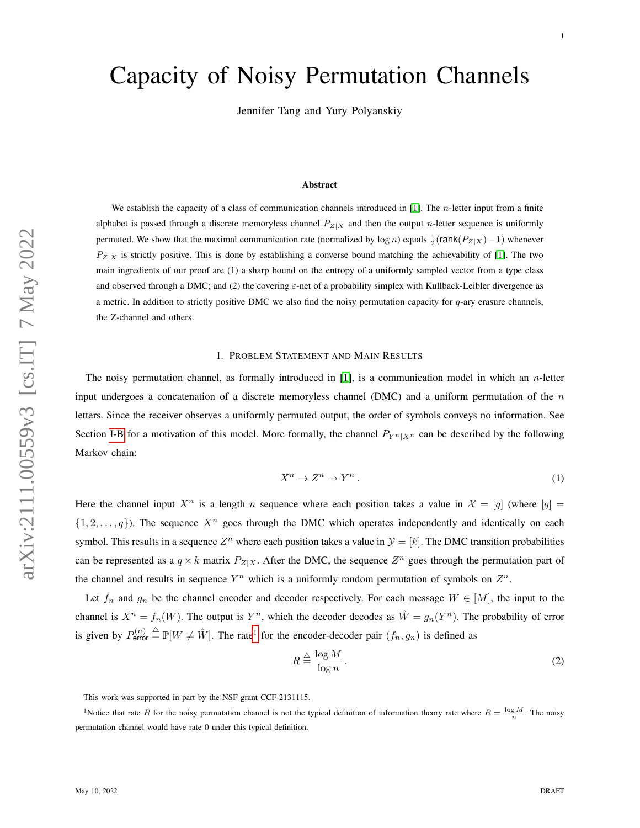# Capacity of Noisy Permutation Channels

Jennifer Tang and Yury Polyanskiy

#### Abstract

We establish the capacity of a class of communication channels introduced in  $[1]$ . The *n*-letter input from a finite alphabet is passed through a discrete memoryless channel  $P_{Z|X}$  and then the output n-letter sequence is uniformly permuted. We show that the maximal communication rate (normalized by log *n*) equals  $\frac{1}{2}$ (rank( $P_{Z|X}$ ) – 1) whenever  $P_{Z|X}$  is strictly positive. This is done by establishing a converse bound matching the achievability of [\[1\]](#page-29-0). The two main ingredients of our proof are (1) a sharp bound on the entropy of a uniformly sampled vector from a type class and observed through a DMC; and (2) the covering  $\varepsilon$ -net of a probability simplex with Kullback-Leibler divergence as a metric. In addition to strictly positive DMC we also find the noisy permutation capacity for q-ary erasure channels, the Z-channel and others.

## I. PROBLEM STATEMENT AND MAIN RESULTS

The noisy permutation channel, as formally introduced in [\[1\]](#page-29-0), is a communication model in which an  $n$ -letter input undergoes a concatenation of a discrete memoryless channel (DMC) and a uniform permutation of the  $n$ letters. Since the receiver observes a uniformly permuted output, the order of symbols conveys no information. See Section [I-B](#page-4-0) for a motivation of this model. More formally, the channel  $P_{Y^n|X^n}$  can be described by the following Markov chain:

$$
X^n \to Z^n \to Y^n. \tag{1}
$$

Here the channel input  $X^n$  is a length n sequence where each position takes a value in  $\mathcal{X} = [q]$  (where  $[q] =$  $\{1, 2, \ldots, q\}$ ). The sequence  $X^n$  goes through the DMC which operates independently and identically on each symbol. This results in a sequence  $Z^n$  where each position takes a value in  $\mathcal{Y} = [k]$ . The DMC transition probabilities can be represented as a  $q \times k$  matrix  $P_{Z|X}$ . After the DMC, the sequence  $Z^n$  goes through the permutation part of the channel and results in sequence  $Y^n$  which is a uniformly random permutation of symbols on  $Z^n$ .

Let  $f_n$  and  $g_n$  be the channel encoder and decoder respectively. For each message  $W \in [M]$ , the input to the channel is  $X^n = f_n(W)$ . The output is  $Y^n$ , which the decoder decodes as  $\hat{W} = g_n(Y^n)$ . The probability of error is given by  $P_{\text{error}}^{(n)} \triangleq \mathbb{P}[W \neq \hat{W}]$ . The rate<sup>[1](#page-0-0)</sup> for the encoder-decoder pair  $(f_n, g_n)$  is defined as

<span id="page-0-1"></span>
$$
R \stackrel{\triangle}{=} \frac{\log M}{\log n} \,. \tag{2}
$$

<span id="page-0-0"></span>This work was supported in part by the NSF grant CCF-2131115.

<sup>1</sup>Notice that rate R for the noisy permutation channel is not the typical definition of information theory rate where  $R = \frac{\log M}{n}$ . The noisy permutation channel would have rate 0 under this typical definition.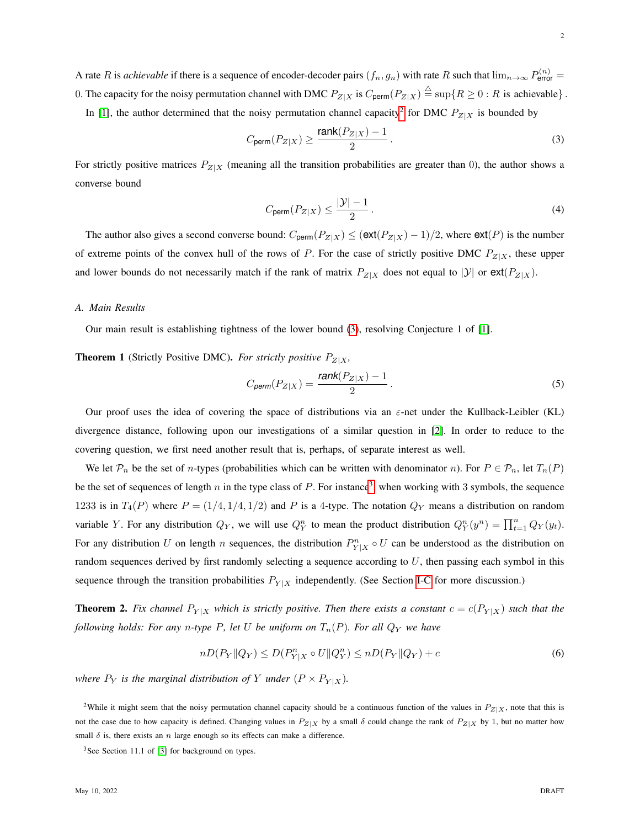A rate R is *achievable* if there is a sequence of encoder-decoder pairs  $(f_n, g_n)$  with rate R such that  $\lim_{n\to\infty} P_{\text{error}}^{(n)} =$ 0. The capacity for the noisy permutation channel with DMC  $P_{Z|X}$  is  $C_{\text{perm}}(P_{Z|X}) \stackrel{\triangle}{=} \sup\{R \ge 0 : R$  is achievable $\}$ . In [\[1\]](#page-29-0), the author determined that the noisy permutation channel capacity<sup>[2](#page-1-0)</sup> for DMC  $P_{Z|X}$  is bounded by

$$
C_{\text{perm}}(P_{Z|X}) \ge \frac{\text{rank}(P_{Z|X}) - 1}{2} \,. \tag{3}
$$

For strictly positive matrices  $P_{Z|X}$  (meaning all the transition probabilities are greater than 0), the author shows a converse bound

<span id="page-1-1"></span>
$$
C_{\text{perm}}(P_{Z|X}) \le \frac{|\mathcal{Y}| - 1}{2} \,. \tag{4}
$$

The author also gives a second converse bound:  $C_{\text{perm}}(P_{Z|X}) \leq (\text{ext}(P_{Z|X}) - 1)/2$ , where  $\text{ext}(P)$  is the number of extreme points of the convex hull of the rows of P. For the case of strictly positive DMC  $P_{Z|X}$ , these upper and lower bounds do not necessarily match if the rank of matrix  $P_{Z|X}$  does not equal to  $|Y|$  or  $ext(P_{Z|X})$ .

#### *A. Main Results*

<span id="page-1-4"></span>Our main result is establishing tightness of the lower bound [\(3\)](#page-1-1), resolving Conjecture 1 of [\[1\]](#page-29-0).

**Theorem 1** (Strictly Positive DMC). For strictly positive  $P_{Z|X}$ ,

$$
C_{\text{perm}}(P_{Z|X}) = \frac{\text{rank}(P_{Z|X}) - 1}{2} \,. \tag{5}
$$

Our proof uses the idea of covering the space of distributions via an  $\varepsilon$ -net under the Kullback-Leibler (KL) divergence distance, following upon our investigations of a similar question in [\[2\]](#page-29-1). In order to reduce to the covering question, we first need another result that is, perhaps, of separate interest as well.

We let  $\mathcal{P}_n$  be the set of *n*-types (probabilities which can be written with denominator *n*). For  $P \in \mathcal{P}_n$ , let  $T_n(P)$ be the set of sequences of length n in the type class of P. For instance<sup>[3](#page-1-2)</sup>, when working with 3 symbols, the sequence 1233 is in  $T_4(P)$  where  $P = (1/4, 1/4, 1/2)$  and P is a 4-type. The notation  $Q_Y$  means a distribution on random variable Y. For any distribution  $Q_Y$ , we will use  $Q_Y^n$  to mean the product distribution  $Q_Y^n(y^n) = \prod_{t=1}^n Q_Y(y_t)$ . For any distribution U on length n sequences, the distribution  $P_{Y|X}^n \circ U$  can be understood as the distribution on random sequences derived by first randomly selecting a sequence according to  $U$ , then passing each symbol in this sequence through the transition probabilities  $P_{Y|X}$  independently. (See Section [I-C](#page-5-0) for more discussion.)

<span id="page-1-3"></span>**Theorem 2.** Fix channel  $P_{Y|X}$  which is strictly positive. Then there exists a constant  $c = c(P_{Y|X})$  such that the *following holds: For any n-type* P, let U be uniform on  $T_n(P)$ *. For all*  $Q_Y$  *we have* 

$$
nD(P_Y \| Q_Y) \le D(P_{Y|X}^n \circ U \| Q_Y^n) \le nD(P_Y \| Q_Y) + c \tag{6}
$$

*where*  $P_Y$  *is the marginal distribution of* Y *under*  $(P \times P_{Y|X})$ *.* 

<span id="page-1-5"></span><span id="page-1-0"></span><sup>2</sup>While it might seem that the noisy permutation channel capacity should be a continuous function of the values in  $P_{Z|X}$ , note that this is not the case due to how capacity is defined. Changing values in  $P_{Z|X}$  by a small  $\delta$  could change the rank of  $P_{Z|X}$  by 1, but no matter how small  $\delta$  is, there exists an n large enough so its effects can make a difference.

<span id="page-1-2"></span> $3$ See Section 11.1 of [\[3\]](#page-29-2) for background on types.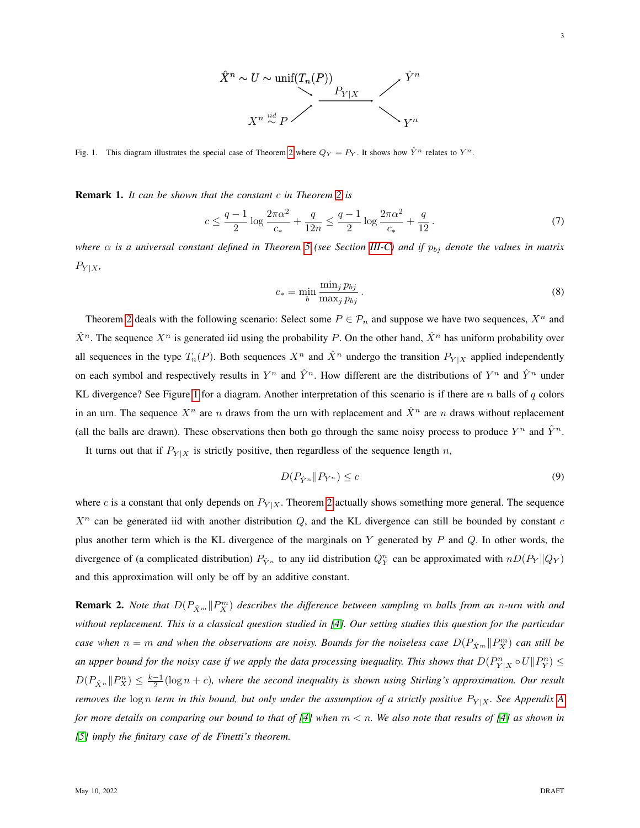

<span id="page-2-0"></span>Fig. 1. This diagram illustrates the special case of Theorem [2](#page-1-3) where  $Q_Y = P_Y$ . It shows how  $\hat{Y}^n$  relates to  $Y^n$ .

Remark 1. *It can be shown that the constant* c *in Theorem [2](#page-1-3) is*

$$
c \le \frac{q-1}{2} \log \frac{2\pi\alpha^2}{c_*} + \frac{q}{12n} \le \frac{q-1}{2} \log \frac{2\pi\alpha^2}{c_*} + \frac{q}{12}.
$$
 (7)

*where*  $\alpha$  *is a universal constant defined in Theorem* [5](#page-12-0) (see Section [III-C\)](#page-12-1) and if  $p_{bj}$  denote the values in matrix  $P_{Y|X}$ 

$$
c_* = \min_b \frac{\min_j p_{bj}}{\max_j p_{bj}}.
$$
\n
$$
(8)
$$

Theorem [2](#page-1-3) deals with the following scenario: Select some  $P \in \mathcal{P}_n$  and suppose we have two sequences,  $X^n$  and  $\hat{X}^n$ . The sequence  $X^n$  is generated iid using the probability P. On the other hand,  $\hat{X}^n$  has uniform probability over all sequences in the type  $T_n(P)$ . Both sequences  $X^n$  and  $\hat{X}^n$  undergo the transition  $P_{Y|X}$  applied independently on each symbol and respectively results in  $Y^n$  and  $\hat{Y}^n$ . How different are the distributions of  $Y^n$  and  $\hat{Y}^n$  under KL divergence? See Figure [1](#page-2-0) for a diagram. Another interpretation of this scenario is if there are n balls of q colors in an urn. The sequence  $X^n$  are n draws from the urn with replacement and  $\hat{X}^n$  are n draws without replacement (all the balls are drawn). These observations then both go through the same noisy process to produce  $Y^n$  and  $\hat{Y}^n$ .

It turns out that if  $P_{Y|X}$  is strictly positive, then regardless of the sequence length n,

$$
D(P_{\hat{Y}^n} \| P_{Y^n}) \le c \tag{9}
$$

where c is a constant that only depends on  $P_{Y|X}$ . Theorem [2](#page-1-3) actually shows something more general. The sequence  $X<sup>n</sup>$  can be generated iid with another distribution  $Q$ , and the KL divergence can still be bounded by constant c plus another term which is the KL divergence of the marginals on  $Y$  generated by  $P$  and  $Q$ . In other words, the divergence of (a complicated distribution)  $P_{\hat{Y}^n}$  to any iid distribution  $Q_Y^n$  can be approximated with  $nD(P_Y||Q_Y)$ and this approximation will only be off by an additive constant.

**Remark 2.** *Note that*  $D(P_{\hat{X}^m}||P_X^m)$  describes the difference between sampling m balls from an n-urn with and *without replacement. This is a classical question studied in [\[4\]](#page-29-3). Our setting studies this question for the particular case when*  $n = m$  and when the observations are noisy. Bounds for the noiseless case  $D(P_{\hat{X}^m} || P_X^m)$  can still be an upper bound for the noisy case if we apply the data processing inequality. This shows that  $D(P^n_{Y|X} \circ U \| P^n_Y) \leq$  $D(P_{\hat{X}^n}||P_X^n) \leq \frac{k-1}{2}(\log n + c)$ , where the second inequality is shown using Stirling's approximation. Our result *removes the*  $\log n$  *term in this bound, but only under the assumption of a strictly positive*  $P_{Y|X}$ *. See [A](#page-16-0)ppendix A for more details on comparing our bound to that of [\[4\]](#page-29-3) when* m < n*. We also note that results of [\[4\]](#page-29-3) as shown in [\[5\]](#page-29-4) imply the finitary case of de Finetti's theorem.*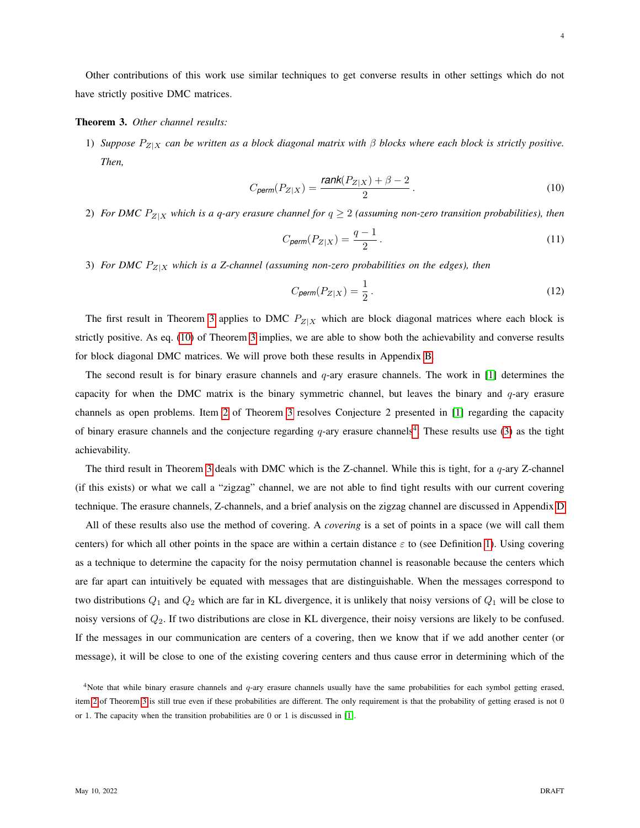Other contributions of this work use similar techniques to get converse results in other settings which do not have strictly positive DMC matrices.

#### <span id="page-3-0"></span>Theorem 3. *Other channel results:*

1) *Suppose* PZ|<sup>X</sup> *can be written as a block diagonal matrix with* β *blocks where each block is strictly positive. Then,*

$$
C_{\text{perm}}(P_{Z|X}) = \frac{\text{rank}(P_{Z|X}) + \beta - 2}{2} \,. \tag{10}
$$

<span id="page-3-2"></span>2) *For DMC*  $P_{Z|X}$  *which is a q-ary erasure channel for*  $q \ge 2$  *(assuming non-zero transition probabilities), then* 

<span id="page-3-1"></span>
$$
C_{\text{perm}}(P_{Z|X}) = \frac{q-1}{2} \,. \tag{11}
$$

<span id="page-3-4"></span>3) *For DMC*  $P_{Z|X}$  *which is a Z-channel (assuming non-zero probabilities on the edges), then* 

$$
C_{\text{perm}}(P_{Z|X}) = \frac{1}{2} \,. \tag{12}
$$

The first result in Theorem [3](#page-3-0) applies to DMC  $P_{Z|X}$  which are block diagonal matrices where each block is strictly positive. As eq. [\(10\)](#page-3-1) of Theorem [3](#page-3-0) implies, we are able to show both the achievability and converse results for block diagonal DMC matrices. We will prove both these results in Appendix [B.](#page-21-0)

The second result is for binary erasure channels and  $q$ -ary erasure channels. The work in [\[1\]](#page-29-0) determines the capacity for when the DMC matrix is the binary symmetric channel, but leaves the binary and  $q$ -ary erasure channels as open problems. Item [2](#page-3-2) of Theorem [3](#page-3-0) resolves Conjecture 2 presented in [\[1\]](#page-29-0) regarding the capacity of binary erasure channels and the conjecture regarding  $q$ -ary erasure channels<sup>[4](#page-3-3)</sup>. These results use [\(3\)](#page-1-1) as the tight achievability.

The third result in Theorem [3](#page-3-0) deals with DMC which is the Z-channel. While this is tight, for a  $q$ -ary Z-channel (if this exists) or what we call a "zigzag" channel, we are not able to find tight results with our current covering technique. The erasure channels, Z-channels, and a brief analysis on the zigzag channel are discussed in Appendix [D](#page-25-0)

All of these results also use the method of covering. A *covering* is a set of points in a space (we will call them centers) for which all other points in the space are within a certain distance  $\varepsilon$  to (see Definition [1\)](#page-8-0). Using covering as a technique to determine the capacity for the noisy permutation channel is reasonable because the centers which are far apart can intuitively be equated with messages that are distinguishable. When the messages correspond to two distributions  $Q_1$  and  $Q_2$  which are far in KL divergence, it is unlikely that noisy versions of  $Q_1$  will be close to noisy versions of  $Q_2$ . If two distributions are close in KL divergence, their noisy versions are likely to be confused. If the messages in our communication are centers of a covering, then we know that if we add another center (or message), it will be close to one of the existing covering centers and thus cause error in determining which of the

<span id="page-3-3"></span><sup>&</sup>lt;sup>4</sup>Note that while binary erasure channels and  $q$ -ary erasure channels usually have the same probabilities for each symbol getting erased, item [2](#page-3-2) of Theorem [3](#page-3-0) is still true even if these probabilities are different. The only requirement is that the probability of getting erased is not 0 or 1. The capacity when the transition probabilities are 0 or 1 is discussed in [\[1\]](#page-29-0).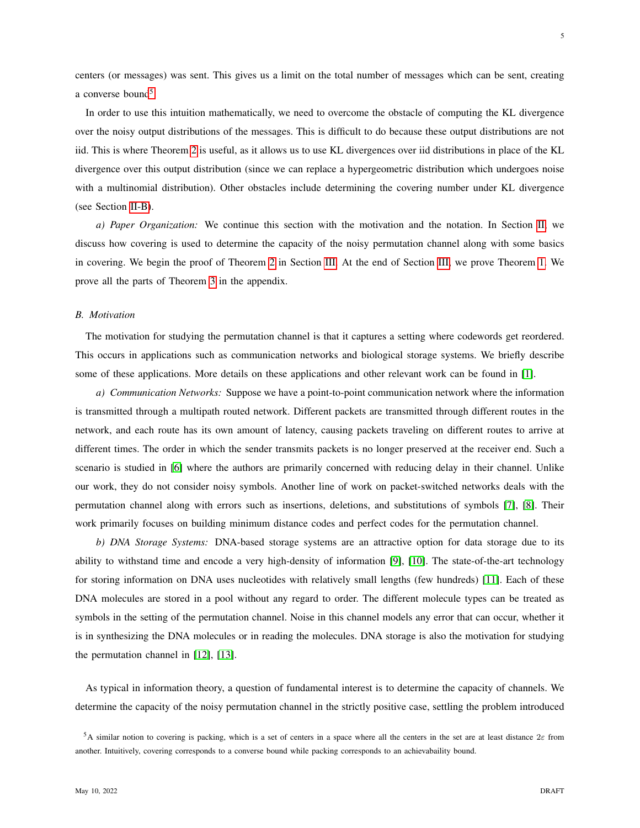5

centers (or messages) was sent. This gives us a limit on the total number of messages which can be sent, creating a converse bound<sup>[5](#page-4-1)</sup>.

In order to use this intuition mathematically, we need to overcome the obstacle of computing the KL divergence over the noisy output distributions of the messages. This is difficult to do because these output distributions are not iid. This is where Theorem [2](#page-1-3) is useful, as it allows us to use KL divergences over iid distributions in place of the KL divergence over this output distribution (since we can replace a hypergeometric distribution which undergoes noise with a multinomial distribution). Other obstacles include determining the covering number under KL divergence (see Section [II-B\)](#page-8-1).

*a) Paper Organization:* We continue this section with the motivation and the notation. In Section [II,](#page-6-0) we discuss how covering is used to determine the capacity of the noisy permutation channel along with some basics in covering. We begin the proof of Theorem [2](#page-1-3) in Section [III.](#page-9-0) At the end of Section [III,](#page-9-0) we prove Theorem [1.](#page-1-4) We prove all the parts of Theorem [3](#page-3-0) in the appendix.

## <span id="page-4-0"></span>*B. Motivation*

The motivation for studying the permutation channel is that it captures a setting where codewords get reordered. This occurs in applications such as communication networks and biological storage systems. We briefly describe some of these applications. More details on these applications and other relevant work can be found in [\[1\]](#page-29-0).

*a) Communication Networks:* Suppose we have a point-to-point communication network where the information is transmitted through a multipath routed network. Different packets are transmitted through different routes in the network, and each route has its own amount of latency, causing packets traveling on different routes to arrive at different times. The order in which the sender transmits packets is no longer preserved at the receiver end. Such a scenario is studied in [\[6\]](#page-29-5) where the authors are primarily concerned with reducing delay in their channel. Unlike our work, they do not consider noisy symbols. Another line of work on packet-switched networks deals with the permutation channel along with errors such as insertions, deletions, and substitutions of symbols [\[7\]](#page-29-6), [\[8\]](#page-29-7). Their work primarily focuses on building minimum distance codes and perfect codes for the permutation channel.

*b) DNA Storage Systems:* DNA-based storage systems are an attractive option for data storage due to its ability to withstand time and encode a very high-density of information [\[9\]](#page-29-8), [\[10\]](#page-29-9). The state-of-the-art technology for storing information on DNA uses nucleotides with relatively small lengths (few hundreds) [\[11\]](#page-29-10). Each of these DNA molecules are stored in a pool without any regard to order. The different molecule types can be treated as symbols in the setting of the permutation channel. Noise in this channel models any error that can occur, whether it is in synthesizing the DNA molecules or in reading the molecules. DNA storage is also the motivation for studying the permutation channel in [\[12\]](#page-29-11), [\[13\]](#page-30-0).

As typical in information theory, a question of fundamental interest is to determine the capacity of channels. We determine the capacity of the noisy permutation channel in the strictly positive case, settling the problem introduced

<span id="page-4-1"></span><sup>&</sup>lt;sup>5</sup>A similar notion to covering is packing, which is a set of centers in a space where all the centers in the set are at least distance  $2\varepsilon$  from another. Intuitively, covering corresponds to a converse bound while packing corresponds to an achievabaility bound.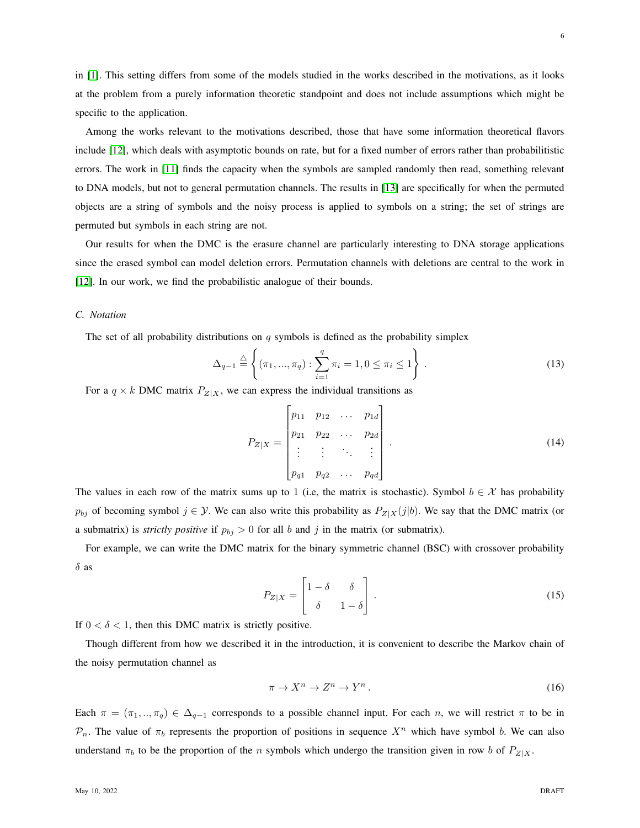in [\[1\]](#page-29-0). This setting differs from some of the models studied in the works described in the motivations, as it looks at the problem from a purely information theoretic standpoint and does not include assumptions which might be specific to the application.

Among the works relevant to the motivations described, those that have some information theoretical flavors include [\[12\]](#page-29-11), which deals with asymptotic bounds on rate, but for a fixed number of errors rather than probabilitistic errors. The work in [\[11\]](#page-29-10) finds the capacity when the symbols are sampled randomly then read, something relevant to DNA models, but not to general permutation channels. The results in [\[13\]](#page-30-0) are specifically for when the permuted objects are a string of symbols and the noisy process is applied to symbols on a string; the set of strings are permuted but symbols in each string are not.

Our results for when the DMC is the erasure channel are particularly interesting to DNA storage applications since the erased symbol can model deletion errors. Permutation channels with deletions are central to the work in [\[12\]](#page-29-11). In our work, we find the probabilistic analogue of their bounds.

## <span id="page-5-0"></span>*C. Notation*

The set of all probability distributions on  $q$  symbols is defined as the probability simplex

$$
\Delta_{q-1} \stackrel{\triangle}{=} \left\{ (\pi_1, ..., \pi_q) : \sum_{i=1}^q \pi_i = 1, 0 \le \pi_i \le 1 \right\}.
$$
 (13)

For a  $q \times k$  DMC matrix  $P_{Z|X}$ , we can express the individual transitions as

$$
P_{Z|X} = \begin{bmatrix} p_{11} & p_{12} & \cdots & p_{1d} \\ p_{21} & p_{22} & \cdots & p_{2d} \\ \vdots & \vdots & \ddots & \vdots \\ p_{q1} & p_{q2} & \cdots & p_{qd} \end{bmatrix} . \tag{14}
$$

The values in each row of the matrix sums up to 1 (i.e, the matrix is stochastic). Symbol  $b \in \mathcal{X}$  has probability  $p_{bj}$  of becoming symbol  $j \in \mathcal{Y}$ . We can also write this probability as  $P_{Z|X}(j|b)$ . We say that the DMC matrix (or a submatrix) is *strictly positive* if  $p_{bj} > 0$  for all b and j in the matrix (or submatrix).

For example, we can write the DMC matrix for the binary symmetric channel (BSC) with crossover probability  $\delta$  as

$$
P_{Z|X} = \begin{bmatrix} 1 - \delta & \delta \\ \delta & 1 - \delta \end{bmatrix} . \tag{15}
$$

If  $0 < \delta < 1$ , then this DMC matrix is strictly positive.

Though different from how we described it in the introduction, it is convenient to describe the Markov chain of the noisy permutation channel as

<span id="page-5-1"></span>
$$
\pi \to X^n \to Z^n \to Y^n. \tag{16}
$$

Each  $\pi = (\pi_1, ..., \pi_q) \in \Delta_{q-1}$  corresponds to a possible channel input. For each n, we will restrict  $\pi$  to be in  $\mathcal{P}_n$ . The value of  $\pi_b$  represents the proportion of positions in sequence  $X^n$  which have symbol b. We can also understand  $\pi_b$  to be the proportion of the n symbols which undergo the transition given in row b of  $P_{Z|X}$ .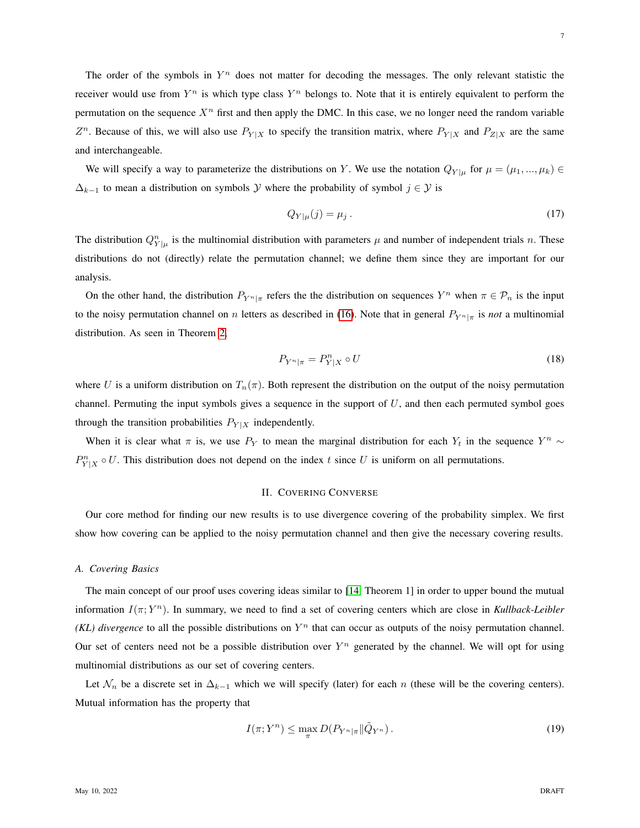We will specify a way to parameterize the distributions on Y. We use the notation  $Q_{Y|\mu}$  for  $\mu = (\mu_1, ..., \mu_k) \in$  $\Delta_{k-1}$  to mean a distribution on symbols Y where the probability of symbol  $j \in \mathcal{Y}$  is

$$
Q_{Y|\mu}(j) = \mu_j. \tag{17}
$$

The distribution  $Q_{Y|\mu}^n$  is the multinomial distribution with parameters  $\mu$  and number of independent trials n. These distributions do not (directly) relate the permutation channel; we define them since they are important for our analysis.

On the other hand, the distribution  $P_{Y^n|\pi}$  refers the the distribution on sequences  $Y^n$  when  $\pi \in \mathcal{P}_n$  is the input to the noisy permutation channel on n letters as described in [\(16\)](#page-5-1). Note that in general  $P_{Y^n|\pi}$  is *not* a multinomial distribution. As seen in Theorem [2,](#page-1-3)

$$
P_{Y^n|\pi} = P_{Y|X}^n \circ U \tag{18}
$$

where U is a uniform distribution on  $T_n(\pi)$ . Both represent the distribution on the output of the noisy permutation channel. Permuting the input symbols gives a sequence in the support of  $U$ , and then each permuted symbol goes through the transition probabilities  $P_{Y|X}$  independently.

When it is clear what  $\pi$  is, we use  $P_Y$  to mean the marginal distribution for each  $Y_t$  in the sequence  $Y^n \sim$  $P_{Y|X}^n \circ U$ . This distribution does not depend on the index t since U is uniform on all permutations.

### II. COVERING CONVERSE

<span id="page-6-0"></span>Our core method for finding our new results is to use divergence covering of the probability simplex. We first show how covering can be applied to the noisy permutation channel and then give the necessary covering results.

## *A. Covering Basics*

The main concept of our proof uses covering ideas similar to [\[14,](#page-30-1) Theorem 1] in order to upper bound the mutual information I(π; Y <sup>n</sup>). In summary, we need to find a set of covering centers which are close in *Kullback-Leibler*  $(KL)$  divergence to all the possible distributions on  $Y<sup>n</sup>$  that can occur as outputs of the noisy permutation channel. Our set of centers need not be a possible distribution over  $Y^n$  generated by the channel. We will opt for using multinomial distributions as our set of covering centers.

Let  $\mathcal{N}_n$  be a discrete set in  $\Delta_{k-1}$  which we will specify (later) for each n (these will be the covering centers). Mutual information has the property that

<span id="page-6-1"></span>
$$
I(\pi;Y^n) \leq \max_{\pi} D(P_{Y^n|\pi} \| \tilde{Q}_{Y^n}).
$$
\n(19)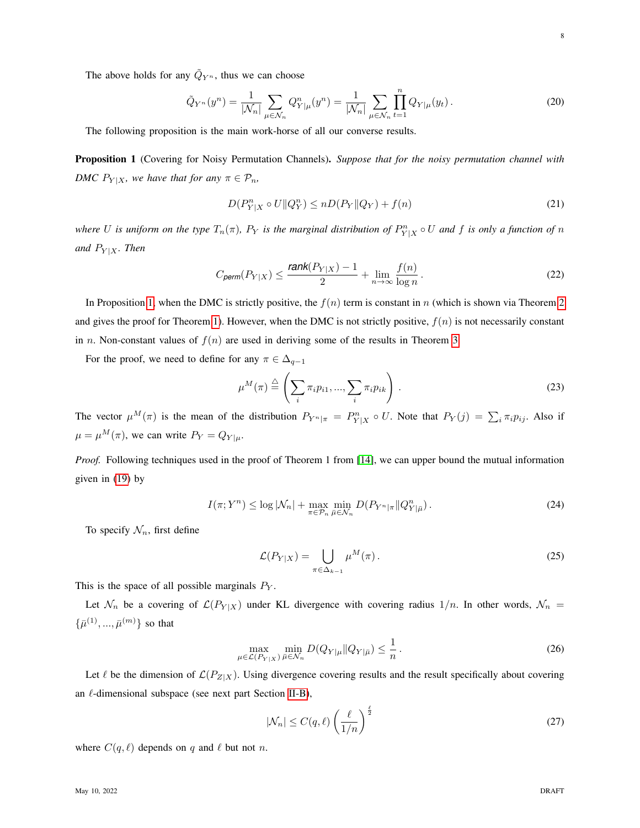The above holds for any  $\tilde{Q}_{Y^n}$ , thus we can choose

$$
\tilde{Q}_{Y^n}(y^n) = \frac{1}{|\mathcal{N}_n|} \sum_{\mu \in \mathcal{N}_n} Q_{Y|\mu}^n(y^n) = \frac{1}{|\mathcal{N}_n|} \sum_{\mu \in \mathcal{N}_n} \prod_{t=1}^n Q_{Y|\mu}(y_t).
$$
\n(20)

<span id="page-7-0"></span>The following proposition is the main work-horse of all our converse results.

Proposition 1 (Covering for Noisy Permutation Channels). *Suppose that for the noisy permutation channel with DMC*  $P_{Y|X}$ *, we have that for any*  $\pi \in \mathcal{P}_n$ *,* 

<span id="page-7-1"></span>
$$
D(P_{Y|X}^n \circ U \| Q_Y^n) \le n D(P_Y \| Q_Y) + f(n)
$$
\n<sup>(21)</sup>

*where* U is uniform on the type  $T_n(\pi)$ ,  $P_Y$  is the marginal distribution of  $P_{Y|X}^n \circ U$  and f is only a function of n *and*  $P_{Y|X}$ *. Then* 

$$
C_{\text{perm}}(P_{Y|X}) \le \frac{\text{rank}(P_{Y|X}) - 1}{2} + \lim_{n \to \infty} \frac{f(n)}{\log n}.
$$
 (22)

In Proposition [1,](#page-7-0) when the DMC is strictly positive, the  $f(n)$  term is constant in n (which is shown via Theorem [2](#page-1-3) and gives the proof for Theorem [1\)](#page-1-4). However, when the DMC is not strictly positive,  $f(n)$  is not necessarily constant in n. Non-constant values of  $f(n)$  are used in deriving some of the results in Theorem [3.](#page-3-0)

For the proof, we need to define for any  $\pi \in \Delta_{q-1}$ 

$$
\mu^M(\pi) \stackrel{\triangle}{=} \left(\sum_i \pi_i p_{i1}, \dots, \sum_i \pi_i p_{ik}\right).
$$
\n(23)

The vector  $\mu^M(\pi)$  is the mean of the distribution  $P_{Y^n|\pi} = P_{Y|X}^n \circ U$ . Note that  $P_Y(j) = \sum_i \pi_i p_{ij}$ . Also if  $\mu = \mu^M(\pi)$ , we can write  $P_Y = Q_{Y|\mu}$ .

*Proof.* Following techniques used in the proof of Theorem 1 from [\[14\]](#page-30-1), we can upper bound the mutual information given in [\(19\)](#page-6-1) by

$$
I(\pi;Y^n) \le \log |\mathcal{N}_n| + \max_{\pi \in \mathcal{P}_n} \min_{\bar{\mu} \in \mathcal{N}_n} D(P_{Y^n|\pi} || Q^n_{Y|\bar{\mu}}).
$$
 (24)

To specify  $\mathcal{N}_n$ , first define

<span id="page-7-2"></span>
$$
\mathcal{L}(P_{Y|X}) = \bigcup_{\pi \in \Delta_{k-1}} \mu^M(\pi).
$$
\n(25)

This is the space of all possible marginals  $P_Y$ .

Let  $\mathcal{N}_n$  be a covering of  $\mathcal{L}(P_{Y|X})$  under KL divergence with covering radius  $1/n$ . In other words,  $\mathcal{N}_n$  =  $\{\bar{\mu}^{(1)}, ..., \bar{\mu}^{(m)}\}$  so that

$$
\max_{\mu \in \mathcal{L}(P_{Y|X})} \min_{\bar{\mu} \in \mathcal{N}_n} D(Q_{Y|\mu} \| Q_{Y|\bar{\mu}}) \le \frac{1}{n} \,. \tag{26}
$$

Let  $\ell$  be the dimension of  $\mathcal{L}(P_{Z|X})$ . Using divergence covering results and the result specifically about covering an  $\ell$ -dimensional subspace (see next part Section [II-B\)](#page-8-1),

<span id="page-7-3"></span>
$$
|\mathcal{N}_n| \le C(q,\ell) \left(\frac{\ell}{1/n}\right)^{\frac{\ell}{2}}
$$
 (27)

where  $C(q, \ell)$  depends on q and  $\ell$  but not n.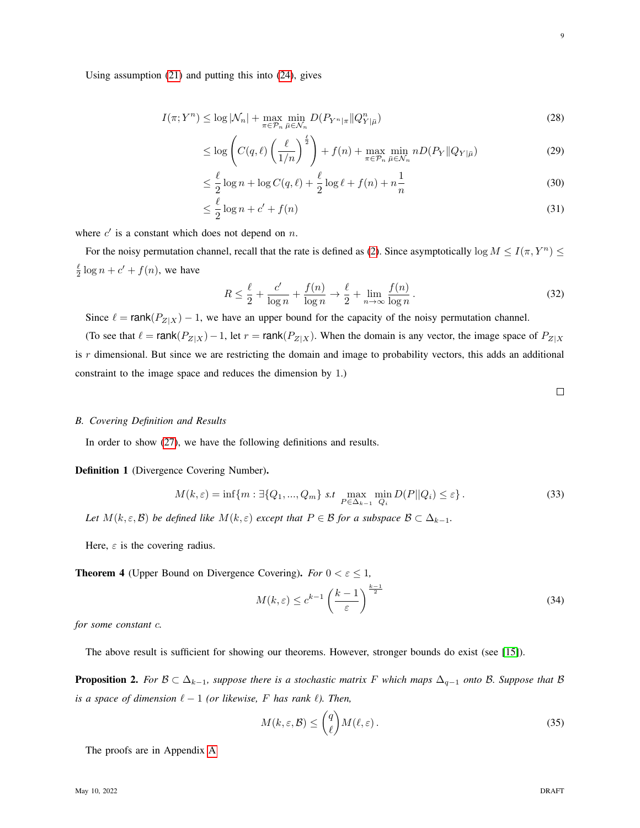Using assumption [\(21\)](#page-7-1) and putting this into [\(24\)](#page-7-2), gives

$$
I(\pi;Y^n) \le \log |\mathcal{N}_n| + \max_{\pi \in \mathcal{P}_n} \min_{\bar{\mu} \in \mathcal{N}_n} D(P_{Y^n|\pi} || Q_{Y|\bar{\mu}}^n)
$$
\n(28)

$$
\leq \log \left( C(q,\ell) \left( \frac{\ell}{1/n} \right)^{\frac{\ell}{2}} \right) + f(n) + \max_{\pi \in \mathcal{P}_n} \min_{\bar{\mu} \in \mathcal{N}_n} n D(P_Y || Q_{Y | \bar{\mu}})
$$
(29)

$$
\leq \frac{\ell}{2}\log n + \log C(q,\ell) + \frac{\ell}{2}\log \ell + f(n) + n\frac{1}{n} \tag{30}
$$

$$
\leq \frac{\ell}{2}\log n + c' + f(n) \tag{31}
$$

where  $c'$  is a constant which does not depend on n.

For the noisy permutation channel, recall that the rate is defined as [\(2\)](#page-0-1). Since asymptotically  $\log M \le I(\pi, Y^n) \le$  $\frac{\ell}{2} \log n + c' + f(n)$ , we have

$$
R \le \frac{\ell}{2} + \frac{c'}{\log n} + \frac{f(n)}{\log n} \to \frac{\ell}{2} + \lim_{n \to \infty} \frac{f(n)}{\log n}.
$$
 (32)

Since  $\ell = \text{rank}(P_{Z|X}) - 1$ , we have an upper bound for the capacity of the noisy permutation channel.

(To see that  $\ell = \text{rank}(P_{Z|X})-1$ , let  $r = \text{rank}(P_{Z|X})$ . When the domain is any vector, the image space of  $P_{Z|X}$ is  $r$  dimensional. But since we are restricting the domain and image to probability vectors, this adds an additional constraint to the image space and reduces the dimension by 1.)

 $\Box$ 

#### <span id="page-8-1"></span>*B. Covering Definition and Results*

<span id="page-8-0"></span>In order to show [\(27\)](#page-7-3), we have the following definitions and results.

Definition 1 (Divergence Covering Number).

$$
M(k,\varepsilon) = \inf\{m : \exists \{Q_1, ..., Q_m\} \text{ s.t } \max_{P \in \Delta_{k-1}} \min_{Q_i} D(P||Q_i) \le \varepsilon\}. \tag{33}
$$

*Let*  $M(k, \varepsilon, \mathcal{B})$  *be defined like*  $M(k, \varepsilon)$  *except that*  $P \in \mathcal{B}$  *for a subspace*  $\mathcal{B} \subset \Delta_{k-1}$ *.* 

<span id="page-8-2"></span>Here,  $\varepsilon$  is the covering radius.

**Theorem 4** (Upper Bound on Divergence Covering). *For*  $0 < \varepsilon \le 1$ ,

$$
M(k,\varepsilon) \le c^{k-1} \left(\frac{k-1}{\varepsilon}\right)^{\frac{k-1}{2}} \tag{34}
$$

*for some constant* c*.*

<span id="page-8-3"></span>The above result is sufficient for showing our theorems. However, stronger bounds do exist (see [\[15\]](#page-30-2)).

**Proposition 2.** *For*  $B \subset \Delta_{k-1}$ *, suppose there is a stochastic matrix F which maps*  $\Delta_{q-1}$  *onto B. Suppose that B is a space of dimension*  $\ell - 1$  *(or likewise,* F *has rank*  $\ell$ *). Then,* 

$$
M(k,\varepsilon,\mathcal{B}) \le \binom{q}{\ell} M(\ell,\varepsilon). \tag{35}
$$

The proofs are in Appendix [A](#page-17-0)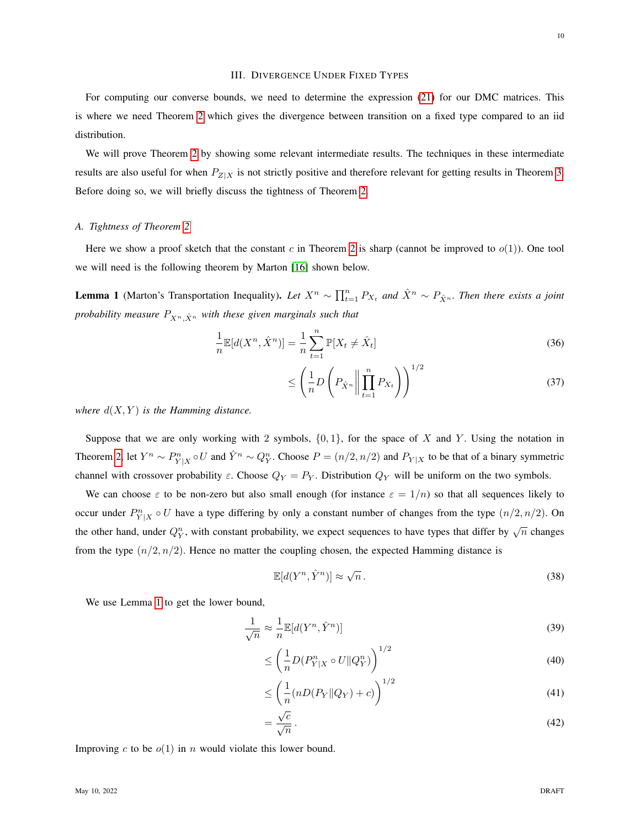<span id="page-9-0"></span>For computing our converse bounds, we need to determine the expression [\(21\)](#page-7-1) for our DMC matrices. This is where we need Theorem [2](#page-1-3) which gives the divergence between transition on a fixed type compared to an iid distribution.

III. DIVERGENCE UNDER FIXED TYPES

We will prove Theorem [2](#page-1-3) by showing some relevant intermediate results. The techniques in these intermediate results are also useful for when  $P_{Z|X}$  is not strictly positive and therefore relevant for getting results in Theorem [3.](#page-3-0) Before doing so, we will briefly discuss the tightness of Theorem [2.](#page-1-3)

## *A. Tightness of Theorem [2](#page-1-3)*

Here we show a proof sketch that the constant c in Theorem [2](#page-1-3) is sharp (cannot be improved to  $o(1)$ ). One tool we will need is the following theorem by Marton [\[16\]](#page-30-3) shown below.

<span id="page-9-1"></span>**Lemma 1** (Marton's Transportation Inequality). Let  $X^n \sim \prod_{t=1}^n P_{X_t}$  and  $\hat{X}^n \sim P_{\hat{X}^n}$ . Then there exists a joint *probability measure*  $P_{X^n, \hat{X}^n}$  *with these given marginals such that* 

$$
\frac{1}{n} \mathbb{E}[d(X^n, \hat{X}^n)] = \frac{1}{n} \sum_{t=1}^n \mathbb{P}[X_t \neq \hat{X}_t]
$$
\n(36)

$$
\leq \left(\frac{1}{n}D\left(P_{\hat{X}^n}\middle\|\prod_{t=1}^n P_{X_t}\right)\right)^{1/2} \tag{37}
$$

*where*  $d(X, Y)$  *is the Hamming distance.* 

Suppose that we are only working with 2 symbols,  $\{0, 1\}$ , for the space of X and Y. Using the notation in Theorem [2,](#page-1-3) let  $Y^n \sim P_{Y|X}^n \circ U$  and  $\hat{Y}^n \sim Q_Y^n$ . Choose  $P = (n/2, n/2)$  and  $P_{Y|X}$  to be that of a binary symmetric channel with crossover probability  $\varepsilon$ . Choose  $Q_Y = P_Y$ . Distribution  $Q_Y$  will be uniform on the two symbols.

We can choose  $\varepsilon$  to be non-zero but also small enough (for instance  $\varepsilon = 1/n$ ) so that all sequences likely to occur under  $P_{Y|X}^n \circ U$  have a type differing by only a constant number of changes from the type  $(n/2, n/2)$ . On the other hand, under  $Q_Y^n$ , with constant probability, we expect sequences to have types that differ by  $\sqrt{n}$  changes from the type  $(n/2, n/2)$ . Hence no matter the coupling chosen, the expected Hamming distance is

$$
\mathbb{E}[d(Y^n, \hat{Y}^n)] \approx \sqrt{n} \,. \tag{38}
$$

We use Lemma [1](#page-9-1) to get the lower bound,

$$
\frac{1}{\sqrt{n}} \approx \frac{1}{n} \mathbb{E}[d(Y^n, \hat{Y}^n)] \tag{39}
$$

$$
\leq \left(\frac{1}{n}D(P_{Y|X}^n \circ U \| Q_Y^n)\right)^{1/2} \tag{40}
$$

$$
\leq \left(\frac{1}{n}(nD(P_Y||Q_Y)+c)\right)^{1/2} \tag{41}
$$

$$
=\frac{\sqrt{c}}{\sqrt{n}}\,.
$$
\n(42)

Improving c to be  $o(1)$  in n would violate this lower bound.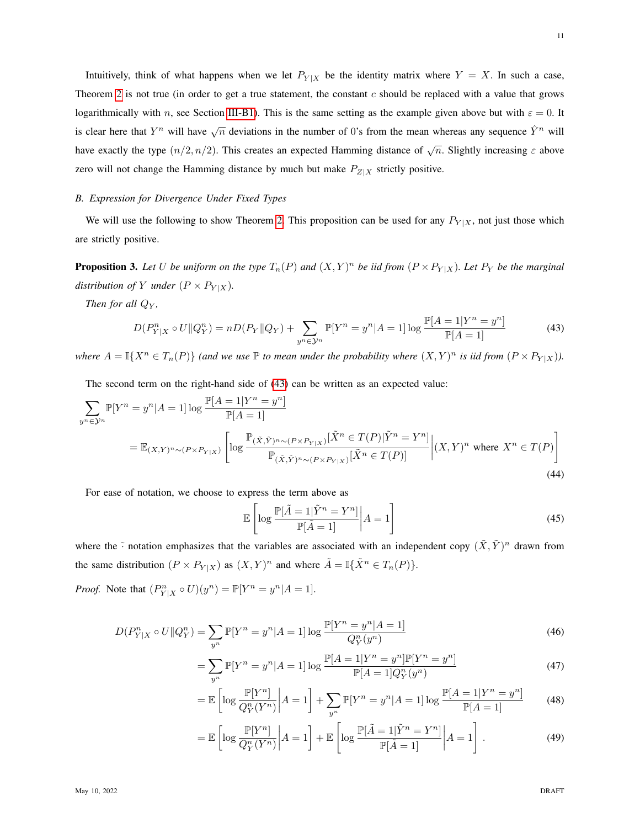Intuitively, think of what happens when we let  $P_{Y|X}$  be the identity matrix where  $Y = X$ . In such a case, Theorem [2](#page-1-3) is not true (in order to get a true statement, the constant  $c$  should be replaced with a value that grows logarithmically with n, see Section [III-B1\)](#page-11-0). This is the same setting as the example given above but with  $\varepsilon = 0$ . It is clear here that  $Y^n$  will have  $\sqrt{n}$  deviations in the number of 0's from the mean whereas any sequence  $\hat{Y}^n$  will have exactly the type  $(n/2, n/2)$ . This creates an expected Hamming distance of  $\sqrt{n}$ . Slightly increasing  $\varepsilon$  above zero will not change the Hamming distance by much but make  $P_{Z|X}$  strictly positive.

## *B. Expression for Divergence Under Fixed Types*

We will use the following to show Theorem [2.](#page-1-3) This proposition can be used for any  $P_{Y|X}$ , not just those which are strictly positive.

<span id="page-10-1"></span>**Proposition 3.** Let U be uniform on the type  $T_n(P)$  and  $(X, Y)^n$  be iid from  $(P \times P_{Y|X})$ . Let  $P_Y$  be the marginal *distribution of* Y *under*  $(P \times P_{Y|X})$ *.* 

*Then for all*  $Q_Y$ *,* 

$$
D(P_{Y|X}^{n} \circ U \| Q_{Y}^{n}) = nD(P_{Y} \| Q_{Y}) + \sum_{y^{n} \in \mathcal{Y}^{n}} \mathbb{P}[Y^{n} = y^{n} | A = 1] \log \frac{\mathbb{P}[A = 1 | Y^{n} = y^{n}]}{\mathbb{P}[A = 1]}
$$
(43)

*where*  $A = \mathbb{I}\{X^n \in T_n(P)\}$  (and we use  $\mathbb P$  *to mean under the probability where*  $(X, Y)^n$  *is iid from*  $(P \times P_{Y|X})$ *).* 

The second term on the right-hand side of [\(43\)](#page-10-0) can be written as an expected value:

$$
\sum_{y^n \in \mathcal{Y}^n} \mathbb{P}[Y^n = y^n | A = 1] \log \frac{\mathbb{P}[A = 1 | Y^n = y^n]}{\mathbb{P}[A = 1]}
$$
\n
$$
= \mathbb{E}_{(X,Y)^n \sim (P \times P_{Y|X})} \left[ \log \frac{\mathbb{P}_{(\tilde{X}, \tilde{Y})^n \sim (P \times P_{Y|X})} [\tilde{X}^n \in T(P) | \tilde{Y}^n = Y^n]}{\mathbb{P}_{(\tilde{X}, \tilde{Y})^n \sim (P \times P_{Y|X})} [\tilde{X}^n \in T(P)]} \right| (X,Y)^n \text{ where } X^n \in T(P) \tag{44}
$$

For ease of notation, we choose to express the term above as

<span id="page-10-0"></span>
$$
\mathbb{E}\left[\log\frac{\mathbb{P}[\tilde{A}=1|\tilde{Y}^{n}=Y^{n}]}{\mathbb{P}[\tilde{A}=1]}\right|A=1\right]
$$
\n(45)

where the  $\tilde{\cdot}$  notation emphasizes that the variables are associated with an independent copy  $(\tilde{X}, \tilde{Y})^n$  drawn from the same distribution  $(P \times P_{Y|X})$  as  $(X, Y)^n$  and where  $\tilde{A} = \mathbb{I}\{\tilde{X}^n \in T_n(P)\}.$ 

*Proof.* Note that  $(P_{Y|X}^n \circ U)(y^n) = \mathbb{P}[Y^n = y^n | A = 1].$ 

$$
D(P_{Y|X}^{n} \circ U \| Q_{Y}^{n}) = \sum_{y^{n}} \mathbb{P}[Y^{n} = y^{n} | A = 1] \log \frac{\mathbb{P}[Y^{n} = y^{n} | A = 1]}{Q_{Y}^{n}(y^{n})}
$$
(46)

$$
= \sum_{y^n} \mathbb{P}[Y^n = y^n | A = 1] \log \frac{\mathbb{P}[A = 1 | Y^n = y^n] \mathbb{P}[Y^n = y^n]}{\mathbb{P}[A = 1] Q_Y^n(y^n)}
$$
(47)

$$
= \mathbb{E}\left[\log \frac{\mathbb{P}[Y^n]}{Q_Y^n(Y^n)}\middle| A=1\right] + \sum_{y^n} \mathbb{P}[Y^n = y^n | A=1] \log \frac{\mathbb{P}[A=1|Y^n = y^n]}{\mathbb{P}[A=1]}
$$
(48)

$$
= \mathbb{E}\left[\log \frac{\mathbb{P}[Y^n]}{Q_Y^n(Y^n)}\bigg| A = 1\right] + \mathbb{E}\left[\log \frac{\mathbb{P}[\tilde{A} = 1|\tilde{Y}^n = Y^n]}{\mathbb{P}[\tilde{A} = 1]} \bigg| A = 1\right].
$$
\n(49)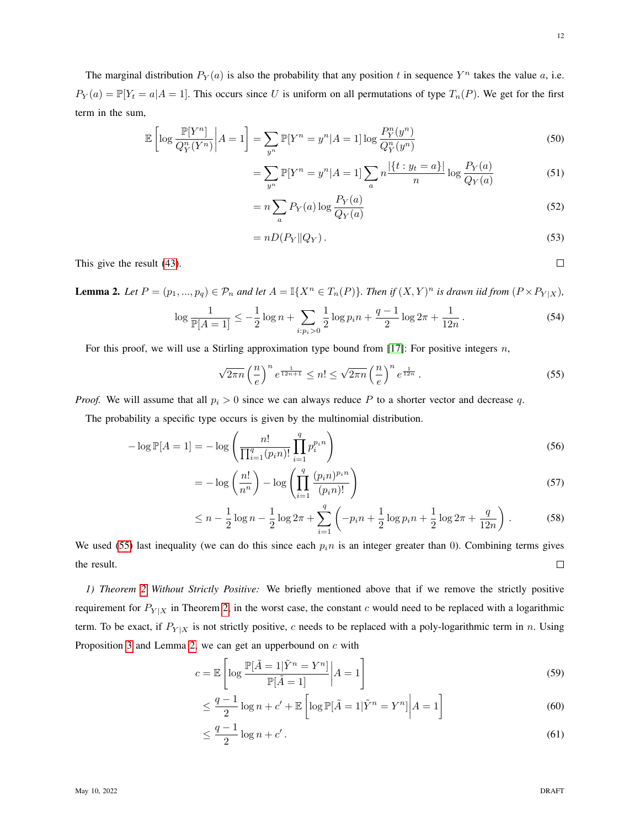12

<span id="page-11-1"></span> $\Box$ 

The marginal distribution  $P_Y(a)$  is also the probability that any position t in sequence  $Y^n$  takes the value a, i.e.  $P_Y(a) = \mathbb{P}[Y_t = a | A = 1]$ . This occurs since U is uniform on all permutations of type  $T_n(P)$ . We get for the first term in the sum,

$$
\mathbb{E}\left[\log\frac{\mathbb{P}[Y^n]}{Q_Y^n(Y^n)}\middle|A=1\right] = \sum_{y^n}\mathbb{P}[Y^n = y^n|A=1]\log\frac{P_Y^n(y^n)}{Q_Y^n(y^n)}\tag{50}
$$

$$
= \sum_{y^n} \mathbb{P}[Y^n = y^n | A = 1] \sum_{a} n \frac{|\{t : y_t = a\}|}{n} \log \frac{P_Y(a)}{Q_Y(a)} \tag{51}
$$

$$
= n \sum_{a} P_Y(a) \log \frac{P_Y(a)}{Q_Y(a)} \tag{52}
$$

$$
= nD(P_Y \| Q_Y). \tag{53}
$$

This give the result [\(43\)](#page-10-0).

<span id="page-11-2"></span>**Lemma 2.** Let  $P = (p_1, ..., p_q) \in \mathcal{P}_n$  and let  $A = \mathbb{I}\{X^n \in T_n(P)\}$ . Then if  $(X, Y)^n$  is drawn iid from  $(P \times P_{Y|X})$ ,

$$
\log \frac{1}{\mathbb{P}[A=1]} \le -\frac{1}{2}\log n + \sum_{i:p_i>0} \frac{1}{2}\log p_i n + \frac{q-1}{2}\log 2\pi + \frac{1}{12n}.
$$
 (54)

For this proof, we will use a Stirling approximation type bound from  $[17]$ : For positive integers n,

$$
\sqrt{2\pi n} \left(\frac{n}{e}\right)^n e^{\frac{1}{12n+1}} \le n! \le \sqrt{2\pi n} \left(\frac{n}{e}\right)^n e^{\frac{1}{12n}}.
$$
\n
$$
(55)
$$

*Proof.* We will assume that all  $p_i > 0$  since we can always reduce P to a shorter vector and decrease q.

The probability a specific type occurs is given by the multinomial distribution.

$$
-\log \mathbb{P}[A=1] = -\log \left(\frac{n!}{\prod_{i=1}^{q} (p_i n)!} \prod_{i=1}^{q} p_i^{p_i n}\right)
$$
\n(56)

$$
= -\log\left(\frac{n!}{n^n}\right) - \log\left(\prod_{i=1}^q \frac{(p_i n)^{p_i n}}{(p_i n)!}\right) \tag{57}
$$

$$
\leq n - \frac{1}{2}\log n - \frac{1}{2}\log 2\pi + \sum_{i=1}^{q} \left(-p_i n + \frac{1}{2}\log p_i n + \frac{1}{2}\log 2\pi + \frac{q}{12n}\right). \tag{58}
$$

We used [\(55\)](#page-11-1) last inequality (we can do this since each  $p_i$  is an integer greater than 0). Combining terms gives the result.  $\Box$ 

<span id="page-11-0"></span>*1) Theorem [2](#page-1-3) Without Strictly Positive:* We briefly mentioned above that if we remove the strictly positive requirement for  $P_{Y|X}$  in Theorem [2,](#page-1-3) in the worst case, the constant c would need to be replaced with a logarithmic term. To be exact, if  $P_{Y|X}$  is not strictly positive, c needs to be replaced with a poly-logarithmic term in n. Using Proposition [3](#page-10-1) and Lemma [2,](#page-11-2) we can get an upperbound on  $c$  with

$$
c = \mathbb{E}\left[\log\frac{\mathbb{P}[\tilde{A} = 1|\tilde{Y}^n = Y^n]}{\mathbb{P}[\tilde{A} = 1]}\right| A = 1\right]
$$
\n(59)

$$
\leq \frac{q-1}{2}\log n + c' + \mathbb{E}\left[\log \mathbb{P}[\tilde{A} = 1|\tilde{Y}^n = Y^n]\middle| A = 1\right] \tag{60}
$$

$$
\leq \frac{q-1}{2}\log n + c' \,. \tag{61}
$$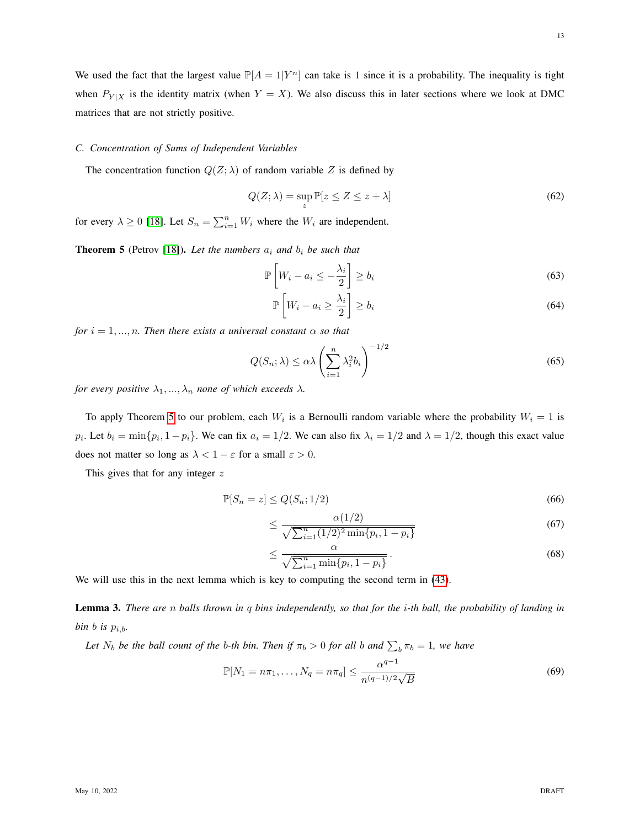## <span id="page-12-1"></span>*C. Concentration of Sums of Independent Variables*

The concentration function  $Q(Z; \lambda)$  of random variable Z is defined by

$$
Q(Z; \lambda) = \sup_{z} \mathbb{P}[z \le Z \le z + \lambda]
$$
\n(62)

<span id="page-12-0"></span>for every  $\lambda \ge 0$  [\[18\]](#page-30-5). Let  $S_n = \sum_{i=1}^n W_i$  where the  $W_i$  are independent.

**Theorem 5** (Petrov [\[18\]](#page-30-5)). Let the numbers  $a_i$  and  $b_i$  be such that

$$
\mathbb{P}\left[W_i - a_i \le -\frac{\lambda_i}{2}\right] \ge b_i \tag{63}
$$

$$
\mathbb{P}\left[W_i - a_i \ge \frac{\lambda_i}{2}\right] \ge b_i \tag{64}
$$

*for*  $i = 1, \ldots, n$ *. Then there exists a universal constant*  $\alpha$  *so that* 

$$
Q(S_n; \lambda) \le \alpha \lambda \left(\sum_{i=1}^n \lambda_i^2 b_i\right)^{-1/2} \tag{65}
$$

*for every positive*  $\lambda_1, ..., \lambda_n$  *none of which exceeds*  $\lambda$ *.* 

To apply Theorem [5](#page-12-0) to our problem, each  $W_i$  is a Bernoulli random variable where the probability  $W_i = 1$  is  $p_i$ . Let  $b_i = \min\{p_i, 1 - p_i\}$ . We can fix  $a_i = 1/2$ . We can also fix  $\lambda_i = 1/2$  and  $\lambda = 1/2$ , though this exact value does not matter so long as  $\lambda < 1 - \varepsilon$  for a small  $\varepsilon > 0$ .

This gives that for any integer  $z$ 

$$
\mathbb{P}[S_n = z] \le Q(S_n; 1/2) \tag{66}
$$

<span id="page-12-2"></span>
$$
\leq \frac{\alpha(1/2)}{\sqrt{\sum_{i=1}^{n} (1/2)^2 \min\{p_i, 1 - p_i\}}}
$$
(67)

$$
\leq \frac{\alpha}{\sqrt{\sum_{i=1}^{n} \min\{p_i, 1-p_i\}}}.
$$
\n(68)

<span id="page-12-3"></span>We will use this in the next lemma which is key to computing the second term in [\(43\)](#page-10-0).

Lemma 3. *There are* n *balls thrown in* q *bins independently, so that for the* i*-th ball, the probability of landing in bin b is*  $p_{i,b}$ *.* 

Let  $N_b$  be the ball count of the b-th bin. Then if  $\pi_b > 0$  for all b and  $\sum_b \pi_b = 1$ , we have

$$
\mathbb{P}[N_1 = n\pi_1, \dots, N_q = n\pi_q] \le \frac{\alpha^{q-1}}{n^{(q-1)/2}\sqrt{B}}
$$
(69)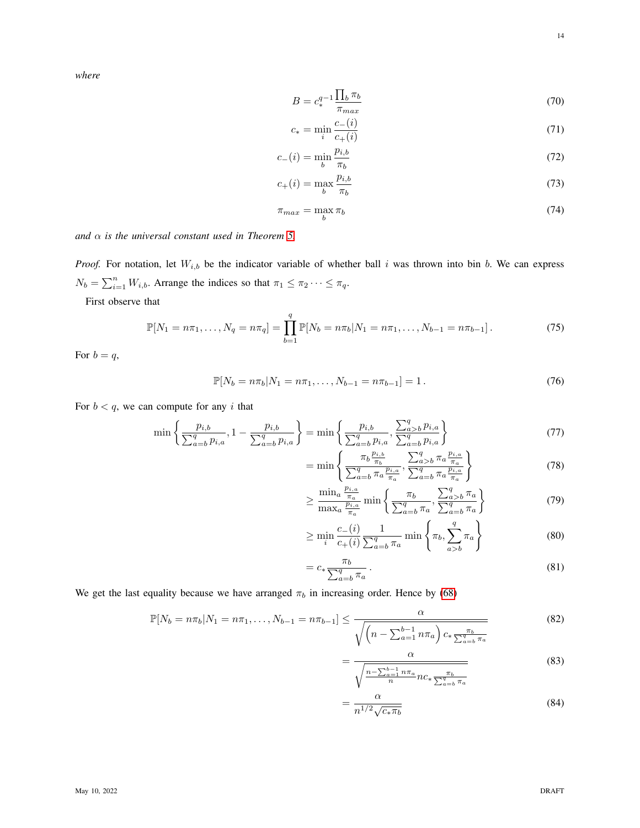*where*

$$
B = c_*^{q-1} \frac{\prod_b \pi_b}{\pi_{max}} \tag{70}
$$

$$
c_* = \min_i \frac{c_-(i)}{c_+(i)}\tag{71}
$$

$$
c_{-}(i) = \min_{b} \frac{p_{i,b}}{\pi_b} \tag{72}
$$

$$
c_{+}(i) = \max_{b} \frac{p_{i,b}}{\pi_b} \tag{73}
$$

$$
\pi_{max} = \max_b \pi_b \tag{74}
$$

*and* α *is the universal constant used in Theorem [5.](#page-12-0)*

*Proof.* For notation, let  $W_{i,b}$  be the indicator variable of whether ball i was thrown into bin b. We can express  $N_b = \sum_{i=1}^n W_{i,b}$ . Arrange the indices so that  $\pi_1 \leq \pi_2 \cdots \leq \pi_q$ .

First observe that

$$
\mathbb{P}[N_1 = n\pi_1, \dots, N_q = n\pi_q] = \prod_{b=1}^q \mathbb{P}[N_b = n\pi_b | N_1 = n\pi_1, \dots, N_{b-1} = n\pi_{b-1}]. \tag{75}
$$

For  $b = q$ ,

$$
\mathbb{P}[N_b = n\pi_b | N_1 = n\pi_1, \dots, N_{b-1} = n\pi_{b-1}] = 1.
$$
\n(76)

For  $b < q$ , we can compute for any i that

$$
\min\left\{\frac{p_{i,b}}{\sum_{a=b}^{q} p_{i,a}}, 1 - \frac{p_{i,b}}{\sum_{a=b}^{q} p_{i,a}}\right\} = \min\left\{\frac{p_{i,b}}{\sum_{a=b}^{q} p_{i,a}}, \frac{\sum_{a>b}^{q} p_{i,a}}{\sum_{a=b}^{q} p_{i,a}}\right\}
$$
(77)

<span id="page-13-0"></span>
$$
= \min \left\{ \frac{\pi_b \frac{p_{i,b}}{\pi_b}}{\sum_{a=b}^{q} \pi_a \frac{p_{i,a}}{\pi_a}}, \frac{\sum_{a>b}^{q} \pi_a \frac{p_{i,a}}{\pi_a}}{\sum_{a=b}^{q} \pi_a \frac{p_{i,a}}{\pi_a}} \right\}
$$
(78)

$$
\geq \frac{\min_a \frac{p_{i,a}}{\pi_a}}{\max_a \frac{p_{i,a}}{\pi_a}} \min \left\{ \frac{\pi_b}{\sum_{a=b}^q \pi_a}, \frac{\sum_{a>b}^q \pi_a}{\sum_{a=b}^q \pi_a} \right\} \tag{79}
$$

$$
\geq \min_{i} \frac{c_{-}(i)}{c_{+}(i)} \frac{1}{\sum_{a=b}^{q} \pi_a} \min \left\{ \pi_b, \sum_{a>b}^{q} \pi_a \right\} \tag{80}
$$

$$
=c_{*}\frac{\pi_{b}}{\sum_{a=b}^{q}\pi_{a}}.
$$
\n(81)

We get the last equality because we have arranged  $\pi_b$  in increasing order. Hence by [\(68\)](#page-12-2)

$$
\mathbb{P}[N_b = n\pi_b | N_1 = n\pi_1, \dots, N_{b-1} = n\pi_{b-1}] \le \frac{\alpha}{\sqrt{\left(n - \sum_{a=1}^{b-1} n\pi_a\right) c_* \frac{\pi_b}{\sum_{a=b}^{q} \pi_a}}}
$$
(82)

$$
= \frac{\alpha}{\sqrt{\frac{n - \sum_{a=1}^{b-1} n \pi_a}{n} n c_* \frac{\pi_b}{\sum_{a=b}^{q} \pi_a}}}
$$
(83)

$$
=\frac{\alpha}{n^{1/2}\sqrt{c_*\pi_b}}\tag{84}
$$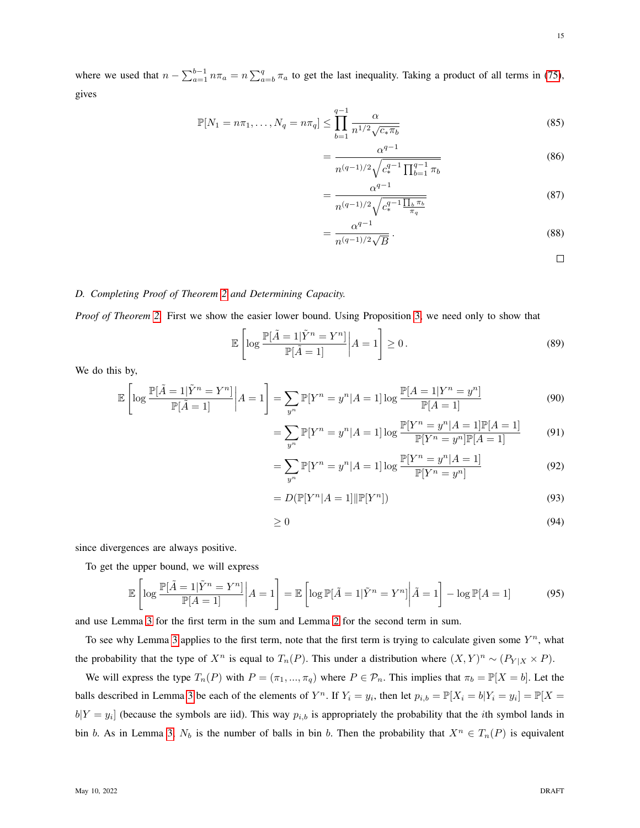where we used that  $n - \sum_{a=1}^{b-1} n \pi_a = n \sum_{a=b}^q \pi_a$  to get the last inequality. Taking a product of all terms in [\(75\)](#page-13-0), gives

$$
\mathbb{P}[N_1 = n\pi_1, \dots, N_q = n\pi_q] \le \prod_{b=1}^{q-1} \frac{\alpha}{n^{1/2} \sqrt{c_* \pi_b}}
$$
\n(85)

$$
=\frac{\alpha^{q-1}}{n^{(q-1)/2}\sqrt{c_*^{q-1}\prod_{b=1}^{q-1}\pi_b}}
$$
(86)

$$
=\frac{\alpha^{q-1}}{n^{(q-1)/2}\sqrt{c_*^{q-1}\frac{\prod_b \pi_b}{\pi_q}}}
$$
(87)

$$
=\frac{\alpha^{q-1}}{n^{(q-1)/2}\sqrt{B}}.\tag{88}
$$

 $\Box$ 

## *D. Completing Proof of Theorem [2](#page-1-3) and Determining Capacity.*

*Proof of Theorem [2.](#page-1-3)* First we show the easier lower bound. Using Proposition [3,](#page-10-1) we need only to show that

$$
\mathbb{E}\left[\log\frac{\mathbb{P}[\tilde{A}=1|\tilde{Y}^{n}=Y^{n}]}{\mathbb{P}[\tilde{A}=1]}\right|A=1\right]\geq 0.
$$
\n(89)

We do this by,

$$
\mathbb{E}\left[\log\frac{\mathbb{P}[\tilde{A}=1|\tilde{Y}^n=Y^n]}{\mathbb{P}[\tilde{A}=1]}\middle|A=1\right]=\sum_{y^n}\mathbb{P}[Y^n=y^n|A=1]\log\frac{\mathbb{P}[A=1|Y^n=y^n]}{\mathbb{P}[A=1]}
$$
\n(90)

$$
= \sum_{y^n} \mathbb{P}[Y^n = y^n | A = 1] \log \frac{\mathbb{P}[Y^n = y^n | A = 1] \mathbb{P}[A = 1]}{\mathbb{P}[Y^n = y^n] \mathbb{P}[A = 1]}
$$
(91)

$$
= \sum_{y^n} \mathbb{P}[Y^n = y^n | A = 1] \log \frac{\mathbb{P}[Y^n = y^n | A = 1]}{\mathbb{P}[Y^n = y^n]}
$$
(92)

$$
=D(\mathbb{P}[Y^n|A=1]||\mathbb{P}[Y^n])
$$
\n(93)

<span id="page-14-0"></span>
$$
\geq 0\tag{94}
$$

since divergences are always positive.

To get the upper bound, we will express

$$
\mathbb{E}\left[\log\frac{\mathbb{P}[\tilde{A}=1|\tilde{Y}^{n}=Y^{n}]}{\mathbb{P}[A=1]}\bigg|A=1\right] = \mathbb{E}\left[\log\mathbb{P}[\tilde{A}=1|\tilde{Y}^{n}=Y^{n}]\bigg|\tilde{A}=1\right] - \log\mathbb{P}[A=1] \tag{95}
$$

and use Lemma [3](#page-12-3) for the first term in the sum and Lemma [2](#page-11-2) for the second term in sum.

To see why Lemma [3](#page-12-3) applies to the first term, note that the first term is trying to calculate given some  $Y^n$ , what the probability that the type of  $X^n$  is equal to  $T_n(P)$ . This under a distribution where  $(X, Y)^n \sim (P_{Y|X} \times P)$ .

We will express the type  $T_n(P)$  with  $P = (\pi_1, ..., \pi_q)$  where  $P \in \mathcal{P}_n$ . This implies that  $\pi_b = \mathbb{P}[X = b]$ . Let the balls described in Lemma [3](#page-12-3) be each of the elements of  $Y^n$ . If  $Y_i = y_i$ , then let  $p_{i,b} = \mathbb{P}[X_i = b | Y_i = y_i] = \mathbb{P}[X = y_i]$  $b[Y = y_i]$  (because the symbols are iid). This way  $p_{i,b}$  is appropriately the probability that the *i*th symbol lands in bin b. As in Lemma [3,](#page-12-3)  $N_b$  is the number of balls in bin b. Then the probability that  $X^n \in T_n(P)$  is equivalent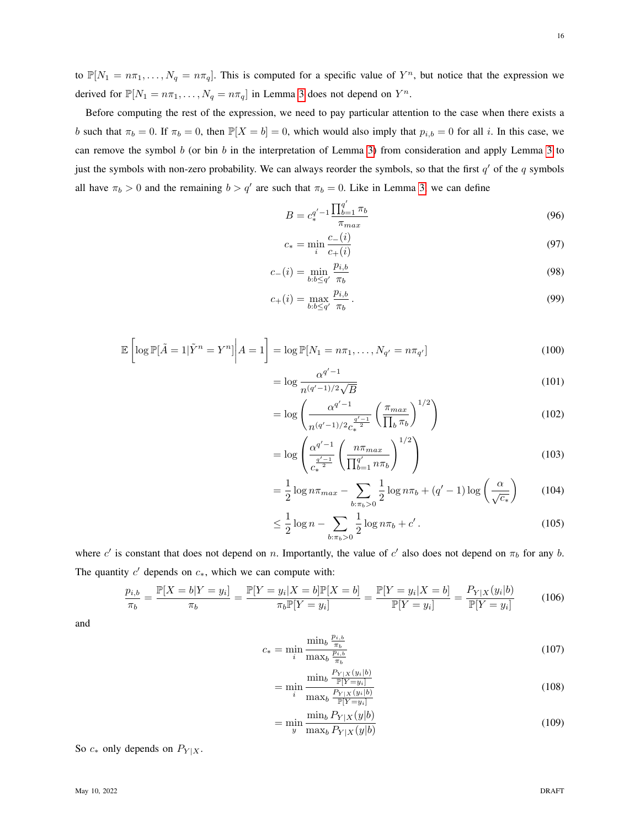to  $\mathbb{P}[N_1 = n\pi_1,\ldots,N_q = n\pi_q]$ . This is computed for a specific value of  $Y^n$ , but notice that the expression we derived for  $\mathbb{P}[N_1 = n\pi_1, \dots, N_q = n\pi_q]$  in Lemma [3](#page-12-3) does not depend on  $Y^n$ .

Before computing the rest of the expression, we need to pay particular attention to the case when there exists a b such that  $\pi_b = 0$ . If  $\pi_b = 0$ , then  $\mathbb{P}[X = b] = 0$ , which would also imply that  $p_{i,b} = 0$  for all i. In this case, we can remove the symbol b (or bin b in the interpretation of Lemma [3\)](#page-12-3) from consideration and apply Lemma [3](#page-12-3) to just the symbols with non-zero probability. We can always reorder the symbols, so that the first  $q'$  of the q symbols all have  $\pi_b > 0$  and the remaining  $b > q'$  are such that  $\pi_b = 0$ . Like in Lemma [3,](#page-12-3) we can define

$$
B = c_*^{q'-1} \frac{\prod_{b=1}^{q'} \pi_b}{\pi_{max}} \tag{96}
$$

$$
c_* = \min_i \frac{c_-(i)}{c_+(i)} \tag{97}
$$

$$
c_{-}(i) = \min_{b:b \le q'} \frac{p_{i,b}}{\pi_b}
$$
 (98)

$$
c_{+}(i) = \max_{b:b \le q'} \frac{p_{i,b}}{\pi_b} \,. \tag{99}
$$

$$
\mathbb{E}\left[\log \mathbb{P}[\tilde{A}=1|\tilde{Y}^n=Y^n]\middle|A=1\right]=\log \mathbb{P}[N_1=n\pi_1,\ldots,N_{q'}=n\pi_{q'}]
$$
\n(100)

$$
= \log \frac{\alpha^{q'-1}}{n^{(q'-1)/2}\sqrt{B}}
$$
\n(101)

$$
= \log \left( \frac{\alpha^{q'-1}}{n^{(q'-1)/2} c_{\ast}^{\frac{q'-1}{2}}} \left( \frac{\pi_{max}}{\prod_b \pi_b} \right)^{1/2} \right) \tag{102}
$$

$$
= \log \left( \frac{\alpha^{q'-1}}{c_*^{\frac{q'-1}{2}}} \left( \frac{n \pi_{max}}{\prod_{b=1}^{q'} n \pi_b} \right)^{1/2} \right) \tag{103}
$$

$$
= \frac{1}{2} \log n \pi_{\max} - \sum_{b:\pi_b > 0} \frac{1}{2} \log n \pi_b + (q' - 1) \log \left( \frac{\alpha}{\sqrt{c_*}} \right) \tag{104}
$$

<span id="page-15-0"></span>
$$
\leq \frac{1}{2} \log n - \sum_{b:\pi_b > 0} \frac{1}{2} \log n\pi_b + c'.
$$
 (105)

where c' is constant that does not depend on n. Importantly, the value of c' also does not depend on  $\pi_b$  for any b. The quantity  $c'$  depends on  $c_*,$  which we can compute with:

$$
\frac{p_{i,b}}{\pi_b} = \frac{\mathbb{P}[X = b|Y = y_i]}{\pi_b} = \frac{\mathbb{P}[Y = y_i|X = b]\mathbb{P}[X = b]}{\pi_b \mathbb{P}[Y = y_i]} = \frac{\mathbb{P}[Y = y_i|X = b]}{\mathbb{P}[Y = y_i]} = \frac{P_{Y|X}(y_i|b)}{\mathbb{P}[Y = y_i]}
$$
(106)

and

$$
c_{*} = \min_{i} \frac{\min_{b} \frac{p_{i,b}}{\pi_{b}}}{\max_{b} \frac{p_{i,b}}{\pi_{b}}} \tag{107}
$$

$$
= \min_{i} \frac{\min_{b} \frac{P_{Y|X}(y_i|b)}{\mathbb{P}[Y=y_i]}}{\max_{b} \frac{P_{Y|X}(y_i|b)}{\mathbb{P}[Y=y_i]}} \tag{108}
$$

$$
= \min_{y} \frac{\min_{b} P_{Y|X}(y|b)}{\max_{b} P_{Y|X}(y|b)}
$$
(109)

So  $c_*$  only depends on  $P_{Y|X}$ .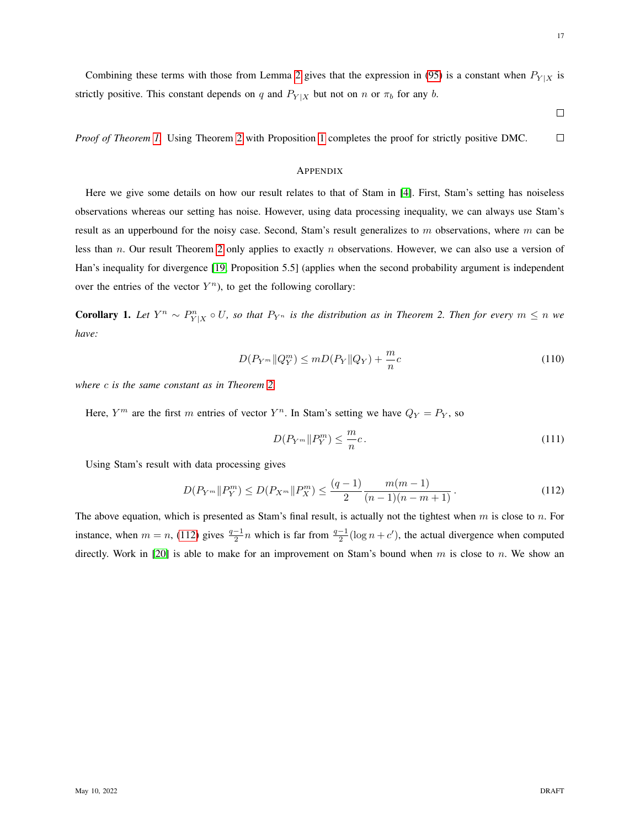$\Box$ 

*Proof of Theorem [1.](#page-1-4)* Using Theorem [2](#page-1-3) with Proposition [1](#page-7-0) completes the proof for strictly positive DMC.  $\Box$ 

#### <span id="page-16-0"></span>**APPENDIX**

Here we give some details on how our result relates to that of Stam in [\[4\]](#page-29-3). First, Stam's setting has noiseless observations whereas our setting has noise. However, using data processing inequality, we can always use Stam's result as an upperbound for the noisy case. Second, Stam's result generalizes to  $m$  observations, where  $m$  can be less than n. Our result Theorem [2](#page-1-3) only applies to exactly n observations. However, we can also use a version of Han's inequality for divergence [\[19,](#page-30-6) Proposition 5.5] (applies when the second probability argument is independent over the entries of the vector  $Y^n$ ), to get the following corollary:

**Corollary 1.** Let  $Y^n \sim P^n_{Y|X} \circ U$ , so that  $P_{Y^n}$  is the distribution as in Theorem 2. Then for every  $m \leq n$  we *have:*

$$
D(P_{Y^m} \| Q_Y^m) \le m D(P_Y \| Q_Y) + \frac{m}{n}c
$$
\n(110)

*where* c *is the same constant as in Theorem [2.](#page-1-3)*

Here,  $Y^m$  are the first m entries of vector  $Y^n$ . In Stam's setting we have  $Q_Y = P_Y$ , so

<span id="page-16-2"></span><span id="page-16-1"></span>
$$
D(P_{Y^m} \| P_Y^m) \le \frac{m}{n}c. \tag{111}
$$

Using Stam's result with data processing gives

$$
D(P_{Y^m} \| P_Y^m) \le D(P_{X^m} \| P_X^m) \le \frac{(q-1)}{2} \frac{m(m-1)}{(n-1)(n-m+1)}.
$$
\n(112)

The above equation, which is presented as Stam's final result, is actually not the tightest when  $m$  is close to  $n$ . For instance, when  $m = n$ , [\(112\)](#page-16-1) gives  $\frac{q-1}{2}n$  which is far from  $\frac{q-1}{2}(\log n + c')$ , the actual divergence when computed directly. Work in [\[20\]](#page-30-7) is able to make for an improvement on Stam's bound when  $m$  is close to  $n$ . We show an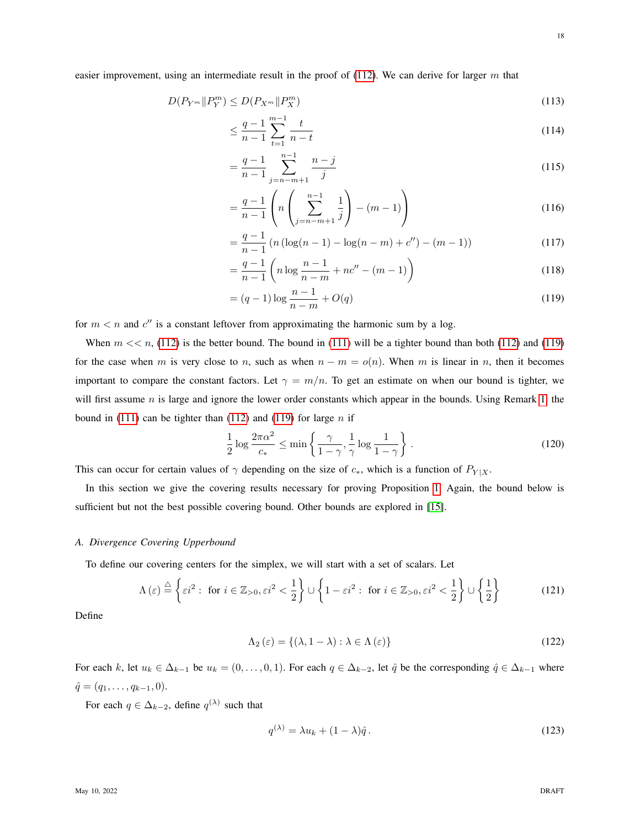$$
D(P_{Y^m} \| P_Y^m) \le D(P_{X^m} \| P_X^m)
$$
\n
$$
(113)
$$

$$
\leq \frac{q-1}{n-1} \sum_{t=1}^{m-1} \frac{t}{n-t} \tag{114}
$$

$$
=\frac{q-1}{n-1}\sum_{j=n-m+1}^{n-1}\frac{n-j}{j}\tag{115}
$$

$$
= \frac{q-1}{n-1} \left( n \left( \sum_{j=n-m+1}^{n-1} \frac{1}{j} \right) - (m-1) \right)
$$
 (116)

$$
= \frac{q-1}{n-1} \left( n \left( \log(n-1) - \log(n-m) + c'' \right) - (m-1) \right) \tag{117}
$$

<span id="page-17-1"></span>
$$
= \frac{q-1}{n-1} \left( n \log \frac{n-1}{n-m} + nc'' - (m-1) \right)
$$
 (118)

$$
= (q-1)\log\frac{n-1}{n-m} + O(q)
$$
\n(119)

for  $m < n$  and  $c''$  is a constant leftover from approximating the harmonic sum by a log.

When  $m \ll n$ , [\(112\)](#page-16-1) is the better bound. The bound in [\(111\)](#page-16-2) will be a tighter bound than both (112) and [\(119\)](#page-17-1) for the case when m is very close to n, such as when  $n - m = o(n)$ . When m is linear in n, then it becomes important to compare the constant factors. Let  $\gamma = m/n$ . To get an estimate on when our bound is tighter, we will first assume  $n$  is large and ignore the lower order constants which appear in the bounds. Using Remark [1,](#page-1-5) the bound in [\(111\)](#page-16-2) can be tighter than [\(112\)](#page-16-1) and [\(119\)](#page-17-1) for large  $n$  if

<span id="page-17-0"></span>
$$
\frac{1}{2}\log\frac{2\pi\alpha^2}{c_*} \le \min\left\{\frac{\gamma}{1-\gamma}, \frac{1}{\gamma}\log\frac{1}{1-\gamma}\right\}.
$$
\n(120)

This can occur for certain values of  $\gamma$  depending on the size of  $c_*$ , which is a function of  $P_{Y|X}$ .

In this section we give the covering results necessary for proving Proposition [1.](#page-7-0) Again, the bound below is sufficient but not the best possible covering bound. Other bounds are explored in [\[15\]](#page-30-2).

#### *A. Divergence Covering Upperbound*

To define our covering centers for the simplex, we will start with a set of scalars. Let

$$
\Lambda(\varepsilon) \stackrel{\triangle}{=} \left\{ \varepsilon i^2 : \text{ for } i \in \mathbb{Z}_{>0}, \varepsilon i^2 < \frac{1}{2} \right\} \cup \left\{ 1 - \varepsilon i^2 : \text{ for } i \in \mathbb{Z}_{>0}, \varepsilon i^2 < \frac{1}{2} \right\} \cup \left\{ \frac{1}{2} \right\} \tag{121}
$$

Define

$$
\Lambda_2(\varepsilon) = \{ (\lambda, 1 - \lambda) : \lambda \in \Lambda(\varepsilon) \}
$$
\n(122)

For each k, let  $u_k \in \Delta_{k-1}$  be  $u_k = (0, \ldots, 0, 1)$ . For each  $q \in \Delta_{k-2}$ , let  $\hat{q}$  be the corresponding  $\hat{q} \in \Delta_{k-1}$  where  $\hat{q} = (q_1, \ldots, q_{k-1}, 0).$ 

For each  $q \in \Delta_{k-2}$ , define  $q^{(\lambda)}$  such that

$$
q^{(\lambda)} = \lambda u_k + (1 - \lambda)\hat{q} \,. \tag{123}
$$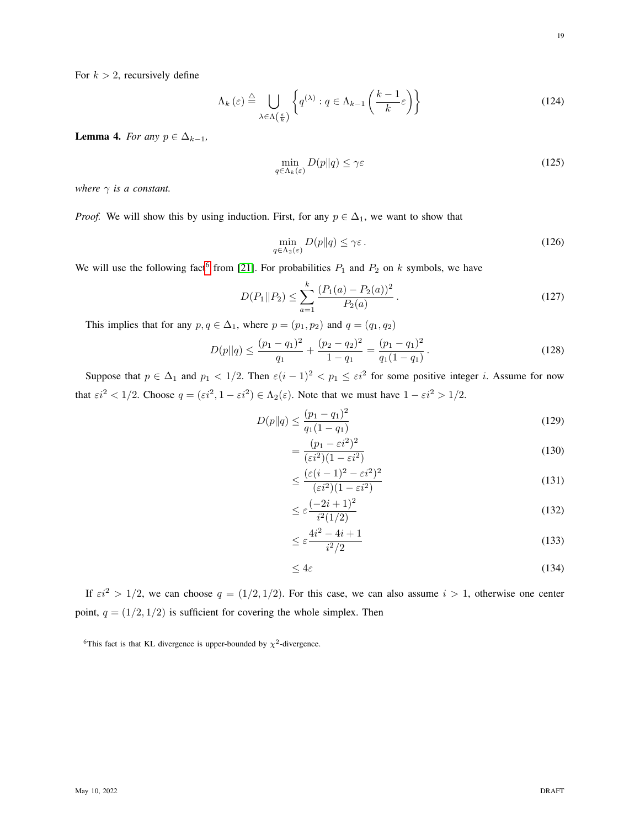For  $k > 2$ , recursively define

$$
\Lambda_{k}\left(\varepsilon\right) \stackrel{\triangle}{=} \bigcup_{\lambda \in \Lambda\left(\frac{\varepsilon}{k}\right)} \left\{ q^{\left(\lambda\right)} : q \in \Lambda_{k-1}\left(\frac{k-1}{k}\varepsilon\right) \right\} \tag{124}
$$

<span id="page-18-1"></span>Lemma 4. *For any*  $p \in \Delta_{k-1}$ ,

$$
\min_{q \in \Lambda_k(\varepsilon)} D(p \| q) \le \gamma \varepsilon \tag{125}
$$

*where*  $\gamma$  *is a constant.* 

*Proof.* We will show this by using induction. First, for any  $p \in \Delta_1$ , we want to show that

$$
\min_{q \in \Lambda_2(\varepsilon)} D(p \| q) \le \gamma \varepsilon \,. \tag{126}
$$

We will use the following fact<sup>[6](#page-18-0)</sup> from [\[21\]](#page-30-8). For probabilities  $P_1$  and  $P_2$  on k symbols, we have

$$
D(P_1||P_2) \le \sum_{a=1}^{k} \frac{(P_1(a) - P_2(a))^2}{P_2(a)}.
$$
\n(127)

This implies that for any  $p, q \in \Delta_1$ , where  $p = (p_1, p_2)$  and  $q = (q_1, q_2)$ 

$$
D(p||q) \le \frac{(p_1 - q_1)^2}{q_1} + \frac{(p_2 - q_2)^2}{1 - q_1} = \frac{(p_1 - q_1)^2}{q_1(1 - q_1)}.
$$
\n(128)

Suppose that  $p \in \Delta_1$  and  $p_1 < 1/2$ . Then  $\varepsilon(i-1)^2 < p_1 \leq \varepsilon i^2$  for some positive integer i. Assume for now that  $\epsilon i^2 < 1/2$ . Choose  $q = (\epsilon i^2, 1 - \epsilon i^2) \in \Lambda_2(\epsilon)$ . Note that we must have  $1 - \epsilon i^2 > 1/2$ .

$$
D(p||q) \le \frac{(p_1 - q_1)^2}{q_1(1 - q_1)}\tag{129}
$$

$$
=\frac{(p_1-\varepsilon i^2)^2}{(\varepsilon i^2)(1-\varepsilon i^2)}
$$
\n(130)

$$
\leq \frac{(\varepsilon(i-1)^2 - \varepsilon i^2)^2}{(\varepsilon i^2)(1 - \varepsilon i^2)}\tag{131}
$$

$$
\leq \varepsilon \frac{(-2i+1)^2}{i^2(1/2)}\tag{132}
$$

$$
\leq \varepsilon \frac{4i^2 - 4i + 1}{i^2/2} \tag{133}
$$

$$
\leq 4\varepsilon \tag{134}
$$

If  $\epsilon i^2 > 1/2$ , we can choose  $q = (1/2, 1/2)$ . For this case, we can also assume  $i > 1$ , otherwise one center point,  $q = (1/2, 1/2)$  is sufficient for covering the whole simplex. Then

<span id="page-18-0"></span><sup>&</sup>lt;sup>6</sup>This fact is that KL divergence is upper-bounded by  $\chi^2$ -divergence.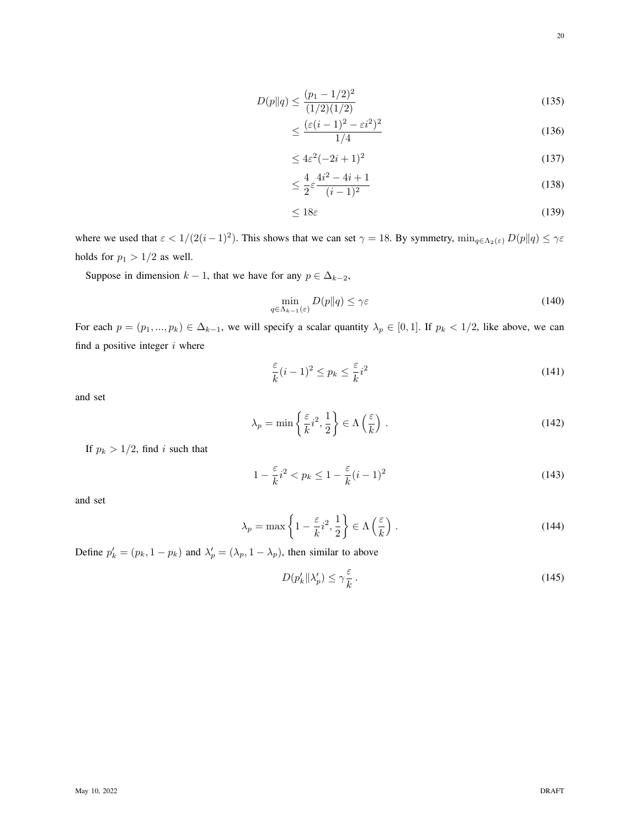$$
D(p||q) \le \frac{(p_1 - 1/2)^2}{(1/2)(1/2)}\tag{135}
$$

$$
\leq \frac{(\varepsilon(i-1)^2 - \varepsilon i^2)^2}{1/4} \tag{136}
$$

$$
\leq 4\varepsilon^2(-2i+1)^2\tag{137}
$$

$$
\leq \frac{4}{2}\varepsilon \frac{4i^2 - 4i + 1}{(i - 1)^2} \tag{138}
$$

$$
\leq 18\varepsilon\tag{139}
$$

where we used that  $\varepsilon < 1/(2(i-1)^2)$ . This shows that we can set  $\gamma = 18$ . By symmetry,  $\min_{q \in \Lambda_2(\varepsilon)} D(p||q) \le \gamma \varepsilon$ holds for  $p_1 > 1/2$  as well.

Suppose in dimension  $k - 1$ , that we have for any  $p \in \Delta_{k-2}$ ,

$$
\min_{q \in \Lambda_{k-1}(\varepsilon)} D(p \| q) \le \gamma \varepsilon \tag{140}
$$

For each  $p = (p_1, ..., p_k) \in \Delta_{k-1}$ , we will specify a scalar quantity  $\lambda_p \in [0, 1]$ . If  $p_k < 1/2$ , like above, we can find a positive integer  $i$  where

$$
\frac{\varepsilon}{k}(i-1)^2 \le p_k \le \frac{\varepsilon}{k}i^2 \tag{141}
$$

and set

$$
\lambda_p = \min\left\{\frac{\varepsilon}{k}i^2, \frac{1}{2}\right\} \in \Lambda\left(\frac{\varepsilon}{k}\right). \tag{142}
$$

If  $p_k > 1/2$ , find i such that

$$
1 - \frac{\varepsilon}{k}i^2 < p_k \le 1 - \frac{\varepsilon}{k}(i-1)^2 \tag{143}
$$

and set

$$
\lambda_p = \max\left\{1 - \frac{\varepsilon}{k}i^2, \frac{1}{2}\right\} \in \Lambda\left(\frac{\varepsilon}{k}\right) \,. \tag{144}
$$

Define  $p'_k = (p_k, 1 - p_k)$  and  $\lambda'_p = (\lambda_p, 1 - \lambda_p)$ , then similar to above

$$
D(p'_k \| \lambda'_p) \le \gamma \frac{\varepsilon}{k} \,. \tag{145}
$$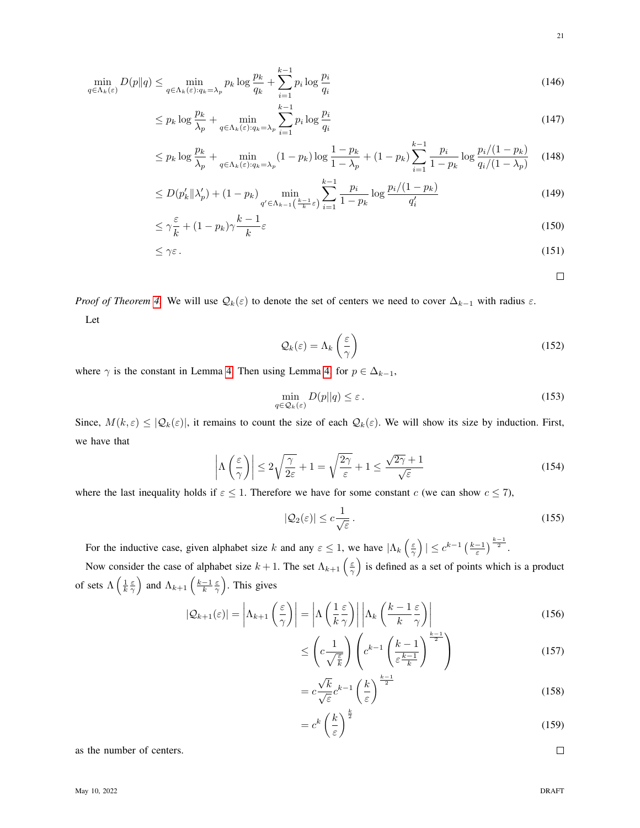$$
\min_{q \in \Lambda_k(\varepsilon)} D(p \| q) \le \min_{q \in \Lambda_k(\varepsilon): q_k = \lambda_p} p_k \log \frac{p_k}{q_k} + \sum_{i=1}^{k-1} p_i \log \frac{p_i}{q_i}
$$
\n(146)

$$
\leq p_k \log \frac{p_k}{\lambda_p} + \min_{q \in \Lambda_k(\varepsilon): q_k = \lambda_p} \sum_{i=1}^{k-1} p_i \log \frac{p_i}{q_i} \tag{147}
$$

$$
\leq p_k \log \frac{p_k}{\lambda_p} + \min_{q \in \Lambda_k(\varepsilon): q_k = \lambda_p} (1 - p_k) \log \frac{1 - p_k}{1 - \lambda_p} + (1 - p_k) \sum_{i=1}^{k-1} \frac{p_i}{1 - p_k} \log \frac{p_i/(1 - p_k)}{q_i/(1 - \lambda_p)} \tag{148}
$$

$$
\leq D(p'_k \| \lambda'_p) + (1 - p_k) \min_{q' \in \Lambda_{k-1}(\frac{k-1}{k}\varepsilon)} \sum_{i=1}^{k-1} \frac{p_i}{1 - p_k} \log \frac{p_i/(1 - p_k)}{q'_i} \tag{149}
$$

$$
\leq \gamma \frac{\varepsilon}{k} + (1 - p_k) \gamma \frac{k - 1}{k} \varepsilon \tag{150}
$$

$$
\leq \gamma \varepsilon \,. \tag{151}
$$

 $\Box$ 

21

*Proof of Theorem* [4.](#page-8-2) We will use  $\mathcal{Q}_k(\varepsilon)$  to denote the set of centers we need to cover  $\Delta_{k-1}$  with radius  $\varepsilon$ . Let

$$
\mathcal{Q}_k(\varepsilon) = \Lambda_k\left(\frac{\varepsilon}{\gamma}\right) \tag{152}
$$

where  $\gamma$  is the constant in Lemma [4.](#page-18-1) Then using Lemma [4,](#page-18-1) for  $p \in \Delta_{k-1}$ ,

$$
\min_{q \in \mathcal{Q}_k(\varepsilon)} D(p||q) \le \varepsilon. \tag{153}
$$

Since,  $M(k,\varepsilon) \leq |\mathcal{Q}_k(\varepsilon)|$ , it remains to count the size of each  $\mathcal{Q}_k(\varepsilon)$ . We will show its size by induction. First, we have that

$$
\left| \Lambda \left( \frac{\varepsilon}{\gamma} \right) \right| \le 2\sqrt{\frac{\gamma}{2\varepsilon}} + 1 = \sqrt{\frac{2\gamma}{\varepsilon}} + 1 \le \frac{\sqrt{2\gamma} + 1}{\sqrt{\varepsilon}} \tag{154}
$$

where the last inequality holds if  $\varepsilon \leq 1$ . Therefore we have for some constant c (we can show  $c \leq 7$ ),

$$
|\mathcal{Q}_2(\varepsilon)| \le c \frac{1}{\sqrt{\varepsilon}} \,. \tag{155}
$$

For the inductive case, given alphabet size k and any  $\varepsilon \leq 1$ , we have  $|\Lambda_k\left(\frac{\varepsilon}{\gamma}\right)| \leq c^{k-1} \left(\frac{k-1}{\varepsilon}\right)^{\frac{k-1}{2}}$ .

Now consider the case of alphabet size  $k+1$ . The set  $\Lambda_{k+1}\left(\frac{\varepsilon}{\gamma}\right)$  is defined as a set of points which is a product of sets  $\Lambda\left(\frac{1}{k}\frac{\varepsilon}{\gamma}\right)$  and  $\Lambda_{k+1}\left(\frac{k-1}{k}\frac{\varepsilon}{\gamma}\right)$ . This gives

$$
|\mathcal{Q}_{k+1}(\varepsilon)| = \left| \Lambda_{k+1} \left( \frac{\varepsilon}{\gamma} \right) \right| = \left| \Lambda \left( \frac{1}{k} \frac{\varepsilon}{\gamma} \right) \right| \left| \Lambda_k \left( \frac{k-1}{k} \frac{\varepsilon}{\gamma} \right) \right| \tag{156}
$$

$$
\leq \left(c\frac{1}{\sqrt{\frac{\varepsilon}{k}}}\right)\left(c^{k-1}\left(\frac{k-1}{\varepsilon^{\frac{k-1}{k}}}\right)^{\frac{k-1}{2}}\right) \tag{157}
$$

$$
=c\frac{\sqrt{k}}{\sqrt{\varepsilon}}c^{k-1}\left(\frac{k}{\varepsilon}\right)^{\frac{k-1}{2}}
$$
\n(158)

$$
=c^k\left(\frac{k}{\varepsilon}\right)^{\frac{k}{2}}\tag{159}
$$

as the number of centers.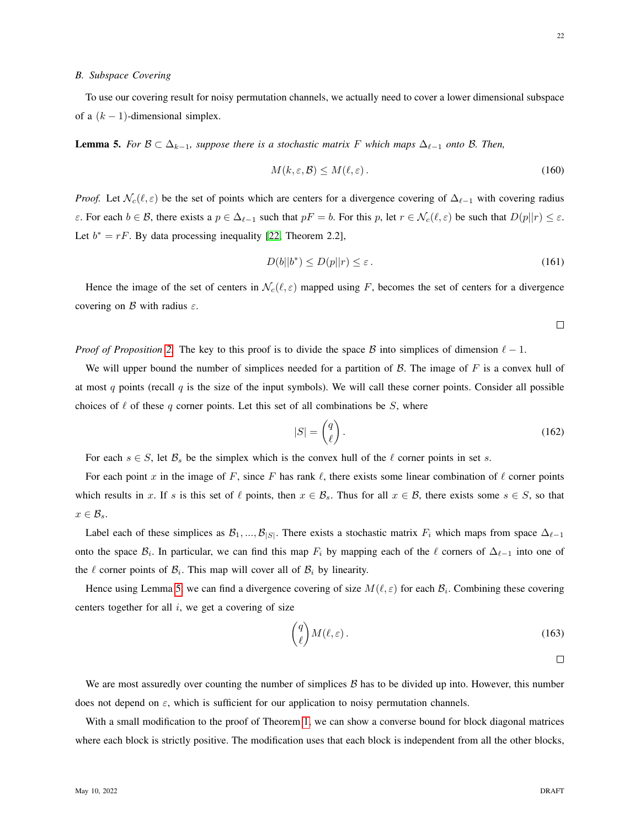#### *B. Subspace Covering*

To use our covering result for noisy permutation channels, we actually need to cover a lower dimensional subspace of a  $(k - 1)$ -dimensional simplex.

<span id="page-21-1"></span>**Lemma 5.** *For*  $\mathcal{B} \subset \Delta_{k-1}$ *, suppose there is a stochastic matrix* F *which maps*  $\Delta_{\ell-1}$  *onto*  $\mathcal{B}$ *. Then,* 

$$
M(k, \varepsilon, \mathcal{B}) \le M(\ell, \varepsilon). \tag{160}
$$

*Proof.* Let  $\mathcal{N}_c(\ell, \varepsilon)$  be the set of points which are centers for a divergence covering of  $\Delta_{\ell-1}$  with covering radius ε. For each  $b \in B$ , there exists a  $p \in \Delta_{\ell-1}$  such that  $pF = b$ . For this p, let  $r \in \mathcal{N}_c(\ell, \varepsilon)$  be such that  $D(p||r) \leq \varepsilon$ . Let  $b^* = rF$ . By data processing inequality [\[22,](#page-30-9) Theorem 2.2],

$$
D(b||b^*) \le D(p||r) \le \varepsilon. \tag{161}
$$

Hence the image of the set of centers in  $\mathcal{N}_c(\ell, \varepsilon)$  mapped using F, becomes the set of centers for a divergence covering on  $\beta$  with radius  $\varepsilon$ .

 $\Box$ 

*Proof of Proposition* [2.](#page-8-3) The key to this proof is to divide the space B into simplices of dimension  $\ell - 1$ .

We will upper bound the number of simplices needed for a partition of  $\beta$ . The image of  $F$  is a convex hull of at most q points (recall  $q$  is the size of the input symbols). We will call these corner points. Consider all possible choices of  $\ell$  of these q corner points. Let this set of all combinations be S, where

$$
|S| = \begin{pmatrix} q \\ \ell \end{pmatrix}.
$$
 (162)

For each  $s \in S$ , let  $\mathcal{B}_s$  be the simplex which is the convex hull of the  $\ell$  corner points in set s.

For each point x in the image of F, since F has rank  $\ell$ , there exists some linear combination of  $\ell$  corner points which results in x. If s is this set of  $\ell$  points, then  $x \in \mathcal{B}_s$ . Thus for all  $x \in \mathcal{B}$ , there exists some  $s \in S$ , so that  $x \in \mathcal{B}_s$ .

Label each of these simplices as  $\mathcal{B}_1, ..., \mathcal{B}_{|S|}$ . There exists a stochastic matrix  $F_i$  which maps from space  $\Delta_{\ell-1}$ onto the space  $B_i$ . In particular, we can find this map  $F_i$  by mapping each of the  $\ell$  corners of  $\Delta_{\ell-1}$  into one of the  $\ell$  corner points of  $\mathcal{B}_i$ . This map will cover all of  $\mathcal{B}_i$  by linearity.

Hence using Lemma [5,](#page-21-1) we can find a divergence covering of size  $M(\ell, \varepsilon)$  for each  $\mathcal{B}_i$ . Combining these covering centers together for all  $i$ , we get a covering of size

$$
\binom{q}{\ell} M(\ell, \varepsilon). \tag{163}
$$

We are most assuredly over counting the number of simplices  $\beta$  has to be divided up into. However, this number does not depend on  $\varepsilon$ , which is sufficient for our application to noisy permutation channels.

With a small modification to the proof of Theorem [1,](#page-1-4) we can show a converse bound for block diagonal matrices where each block is strictly positive. The modification uses that each block is independent from all the other blocks,

<span id="page-21-0"></span> $\Box$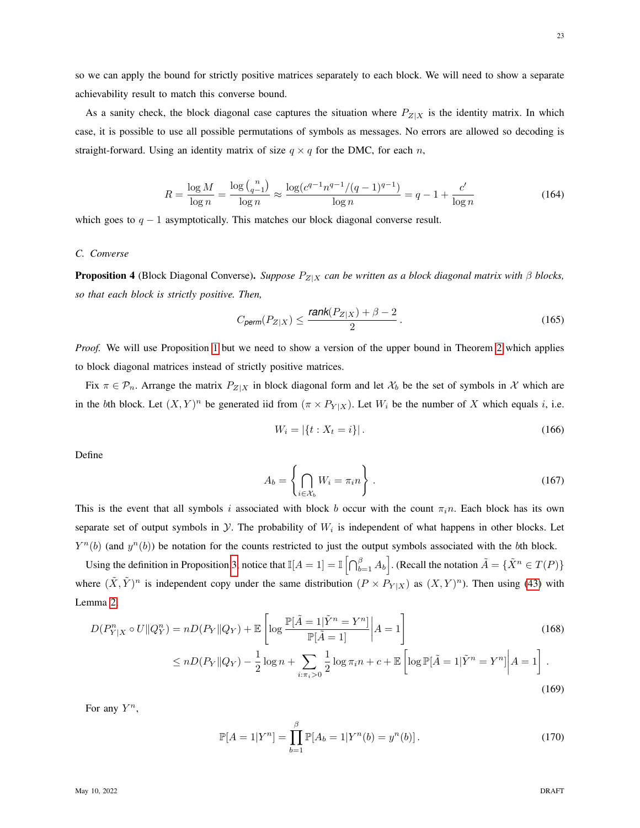so we can apply the bound for strictly positive matrices separately to each block. We will need to show a separate achievability result to match this converse bound.

As a sanity check, the block diagonal case captures the situation where  $P_{Z|X}$  is the identity matrix. In which case, it is possible to use all possible permutations of symbols as messages. No errors are allowed so decoding is straight-forward. Using an identity matrix of size  $q \times q$  for the DMC, for each n,

$$
R = \frac{\log M}{\log n} = \frac{\log {n \choose q-1}}{\log n} \approx \frac{\log (c^{q-1} n^{q-1}/(q-1)^{q-1})}{\log n} = q - 1 + \frac{c'}{\log n} \tag{164}
$$

which goes to  $q - 1$  asymptotically. This matches our block diagonal converse result.

## <span id="page-22-0"></span>*C. Converse*

**Proposition 4** (Block Diagonal Converse). *Suppose*  $P_{Z|X}$  *can be written as a block diagonal matrix with*  $\beta$  *blocks*, *so that each block is strictly positive. Then,*

$$
C_{\text{perm}}(P_{Z|X}) \le \frac{\text{rank}(P_{Z|X}) + \beta - 2}{2} \,. \tag{165}
$$

*Proof.* We will use Proposition [1](#page-7-0) but we need to show a version of the upper bound in Theorem [2](#page-1-3) which applies to block diagonal matrices instead of strictly positive matrices.

Fix  $\pi \in \mathcal{P}_n$ . Arrange the matrix  $P_{Z|X}$  in block diagonal form and let  $\mathcal{X}_b$  be the set of symbols in X which are in the bth block. Let  $(X, Y)^n$  be generated iid from  $(\pi \times P_{Y|X})$ . Let  $W_i$  be the number of X which equals i, i.e.

$$
W_i = |\{t : X_t = i\}|. \tag{166}
$$

Define

$$
A_b = \left\{ \bigcap_{i \in \mathcal{X}_b} W_i = \pi_i n \right\} \,. \tag{167}
$$

This is the event that all symbols i associated with block b occur with the count  $\pi_i n$ . Each block has its own separate set of output symbols in  $Y$ . The probability of  $W_i$  is independent of what happens in other blocks. Let  $Y^n(b)$  (and  $y^n(b)$ ) be notation for the counts restricted to just the output symbols associated with the bth block.

Using the definition in Proposition [3,](#page-10-1) notice that  $\mathbb{I}[A=1] = \mathbb{I} \left[ \bigcap_{b=1}^{\beta} A_b \right]$ . (Recall the notation  $\tilde{A} = \{ \tilde{X}^n \in T(P) \}$ where  $(\tilde{X}, \tilde{Y})^n$  is independent copy under the same distribution  $(P \times P_{Y|X})$  as  $(X, Y)^n$ ). Then using [\(43\)](#page-10-0) with Lemma [2,](#page-11-2)

$$
D(P_{Y|X}^{n} \circ U \| Q_{Y}^{n}) = nD(P_{Y} \| Q_{Y}) + \mathbb{E} \left[ \log \frac{\mathbb{P}[\tilde{A} = 1 | \tilde{Y}^{n} = Y^{n}]}{\mathbb{P}[\tilde{A} = 1]} \middle| A = 1 \right]
$$
\n
$$
\leq nD(P_{Y} \| Q_{Y}) - \frac{1}{2} \log n + \sum_{i: \pi_{i} > 0} \frac{1}{2} \log \pi_{i} n + c + \mathbb{E} \left[ \log \mathbb{P}[\tilde{A} = 1 | \tilde{Y}^{n} = Y^{n}] \middle| A = 1 \right].
$$
\n(169)

For any  $Y^n$ ,

$$
\mathbb{P}[A=1|Y^n] = \prod_{b=1}^{\beta} \mathbb{P}[A_b=1|Y^n(b) = y^n(b)].
$$
\n(170)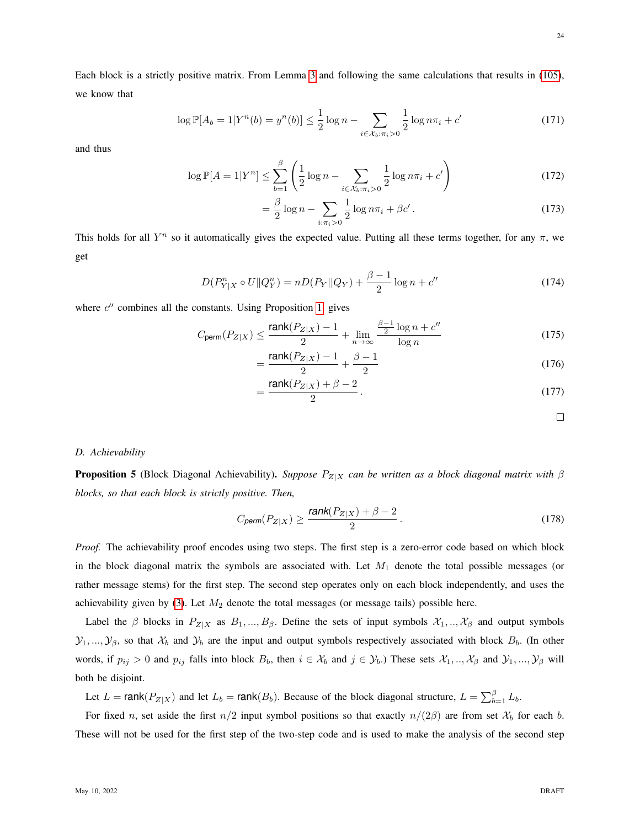Each block is a strictly positive matrix. From Lemma [3](#page-12-3) and following the same calculations that results in [\(105\)](#page-15-0), we know that

$$
\log \mathbb{P}[A_b = 1 | Y^n(b) = y^n(b)] \le \frac{1}{2} \log n - \sum_{i \in \mathcal{X}_b : \pi_i > 0} \frac{1}{2} \log n \pi_i + c' \tag{171}
$$

and thus

$$
\log \mathbb{P}[A = 1 | Y^n] \le \sum_{b=1}^{\beta} \left( \frac{1}{2} \log n - \sum_{i \in \mathcal{X}_b : \pi_i > 0} \frac{1}{2} \log n \pi_i + c' \right)
$$
(172)

$$
= \frac{\beta}{2}\log n - \sum_{i:\pi_i>0} \frac{1}{2}\log n\pi_i + \beta c'.
$$
 (173)

This holds for all  $Y^n$  so it automatically gives the expected value. Putting all these terms together, for any  $\pi$ , we get

$$
D(P_{Y|X}^{n} \circ U \| Q_{Y}^{n}) = nD(P_{Y} \| Q_{Y}) + \frac{\beta - 1}{2} \log n + c''
$$
\n(174)

where  $c''$  combines all the constants. Using Proposition [1,](#page-7-0) gives

$$
C_{\text{perm}}(P_{Z|X}) \le \frac{\text{rank}(P_{Z|X}) - 1}{2} + \lim_{n \to \infty} \frac{\frac{\beta - 1}{2} \log n + c^n}{\log n} \tag{175}
$$

$$
=\frac{\text{rank}(P_{Z|X})-1}{2} + \frac{\beta-1}{2} \tag{176}
$$

$$
=\frac{\operatorname{rank}(P_{Z|X})+\beta-2}{2}.
$$
\n(177)

#### *D. Achievability*

<span id="page-23-0"></span>**Proposition 5** (Block Diagonal Achievability). *Suppose*  $P_{Z|X}$  *can be written as a block diagonal matrix with*  $\beta$ *blocks, so that each block is strictly positive. Then,*

$$
C_{\text{perm}}(P_{Z|X}) \ge \frac{\text{rank}(P_{Z|X}) + \beta - 2}{2} \,. \tag{178}
$$

*Proof.* The achievability proof encodes using two steps. The first step is a zero-error code based on which block in the block diagonal matrix the symbols are associated with. Let  $M_1$  denote the total possible messages (or rather message stems) for the first step. The second step operates only on each block independently, and uses the achievability given by [\(3\)](#page-1-1). Let  $M_2$  denote the total messages (or message tails) possible here.

Label the  $\beta$  blocks in  $P_{Z|X}$  as  $B_1, ..., B_{\beta}$ . Define the sets of input symbols  $\mathcal{X}_1, ..., \mathcal{X}_{\beta}$  and output symbols  $\mathcal{Y}_1,...,\mathcal{Y}_\beta$ , so that  $\mathcal{X}_b$  and  $\mathcal{Y}_b$  are the input and output symbols respectively associated with block  $B_b$ . (In other words, if  $p_{ij} > 0$  and  $p_{ij}$  falls into block  $B_b$ , then  $i \in \mathcal{X}_b$  and  $j \in \mathcal{Y}_b$ .) These sets  $\mathcal{X}_1, ..., \mathcal{X}_\beta$  and  $\mathcal{Y}_1, ..., \mathcal{Y}_\beta$  will both be disjoint.

Let  $L = \text{rank}(P_{Z|X})$  and let  $L_b = \text{rank}(B_b)$ . Because of the block diagonal structure,  $L = \sum_{b=1}^{\beta} L_b$ .

For fixed n, set aside the first  $n/2$  input symbol positions so that exactly  $n/(2\beta)$  are from set  $\mathcal{X}_b$  for each b. These will not be used for the first step of the two-step code and is used to make the analysis of the second step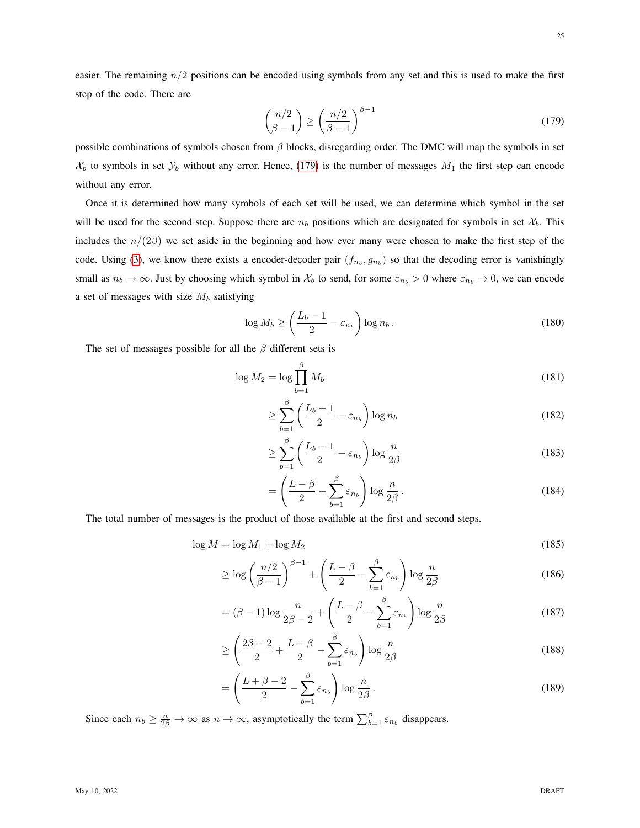<span id="page-24-0"></span>25

easier. The remaining  $n/2$  positions can be encoded using symbols from any set and this is used to make the first step of the code. There are

$$
\binom{n/2}{\beta - 1} \ge \left(\frac{n/2}{\beta - 1}\right)^{\beta - 1} \tag{179}
$$

possible combinations of symbols chosen from  $\beta$  blocks, disregarding order. The DMC will map the symbols in set  $X_b$  to symbols in set  $Y_b$  without any error. Hence, [\(179\)](#page-24-0) is the number of messages  $M_1$  the first step can encode without any error.

Once it is determined how many symbols of each set will be used, we can determine which symbol in the set will be used for the second step. Suppose there are  $n_b$  positions which are designated for symbols in set  $\mathcal{X}_b$ . This includes the  $n/(2\beta)$  we set aside in the beginning and how ever many were chosen to make the first step of the code. Using [\(3\)](#page-1-1), we know there exists a encoder-decoder pair  $(f_{n_b}, g_{n_b})$  so that the decoding error is vanishingly small as  $n_b \to \infty$ . Just by choosing which symbol in  $\mathcal{X}_b$  to send, for some  $\varepsilon_{n_b} > 0$  where  $\varepsilon_{n_b} \to 0$ , we can encode a set of messages with size  $M_b$  satisfying

$$
\log M_b \ge \left(\frac{L_b - 1}{2} - \varepsilon_{n_b}\right) \log n_b. \tag{180}
$$

The set of messages possible for all the  $\beta$  different sets is

$$
\log M_2 = \log \prod_{b=1}^{\beta} M_b \tag{181}
$$

$$
\geq \sum_{b=1}^{\beta} \left( \frac{L_b - 1}{2} - \varepsilon_{n_b} \right) \log n_b \tag{182}
$$

$$
\geq \sum_{b=1}^{\beta} \left( \frac{L_b - 1}{2} - \varepsilon_{n_b} \right) \log \frac{n}{2\beta} \tag{183}
$$

$$
= \left(\frac{L-\beta}{2} - \sum_{b=1}^{\beta} \varepsilon_{n_b}\right) \log \frac{n}{2\beta}.
$$
 (184)

The total number of messages is the product of those available at the first and second steps.

$$
\log M = \log M_1 + \log M_2 \tag{185}
$$

$$
\geq \log \left(\frac{n/2}{\beta - 1}\right)^{\beta - 1} + \left(\frac{L - \beta}{2} - \sum_{b=1}^{\beta} \varepsilon_{n_b}\right) \log \frac{n}{2\beta} \tag{186}
$$

$$
= (\beta - 1) \log \frac{n}{2\beta - 2} + \left(\frac{L - \beta}{2} - \sum_{b=1}^{\beta} \varepsilon_{n_b}\right) \log \frac{n}{2\beta}
$$
(187)

$$
\geq \left(\frac{2\beta-2}{2} + \frac{L-\beta}{2} - \sum_{b=1}^{\beta} \varepsilon_{n_b}\right) \log \frac{n}{2\beta} \tag{188}
$$

$$
= \left(\frac{L+\beta-2}{2} - \sum_{b=1}^{\beta} \varepsilon_{n_b}\right) \log \frac{n}{2\beta} \,. \tag{189}
$$

Since each  $n_b \geq \frac{n}{2\beta} \to \infty$  as  $n \to \infty$ , asymptotically the term  $\sum_{b=1}^{\beta} \varepsilon_{n_b}$  disappears.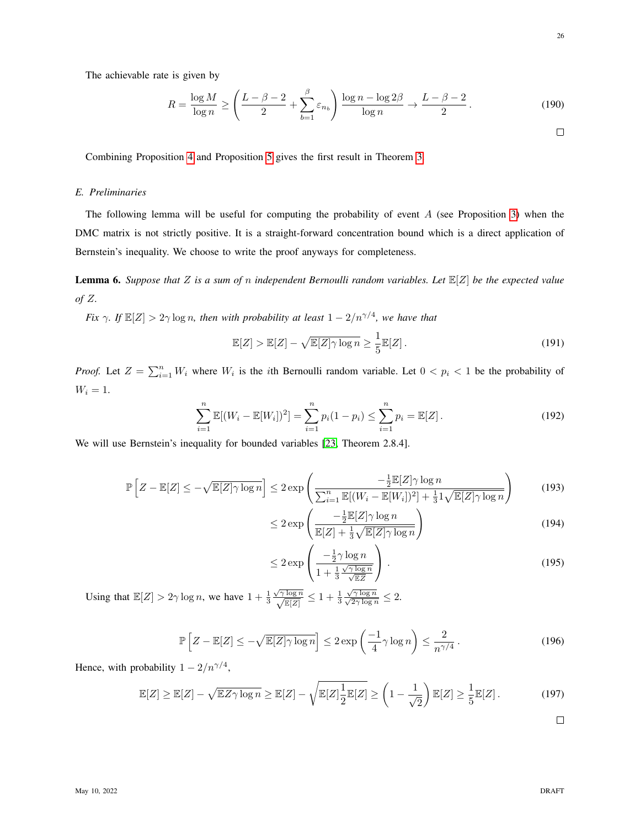The achievable rate is given by

<span id="page-25-0"></span>
$$
R = \frac{\log M}{\log n} \ge \left(\frac{L - \beta - 2}{2} + \sum_{b=1}^{\beta} \varepsilon_{n_b}\right) \frac{\log n - \log 2\beta}{\log n} \to \frac{L - \beta - 2}{2}.
$$
 (190)

Combining Proposition [4](#page-22-0) and Proposition [5](#page-23-0) gives the first result in Theorem [3.](#page-3-0)

## *E. Preliminaries*

The following lemma will be useful for computing the probability of event  $A$  (see Proposition [3\)](#page-10-1) when the DMC matrix is not strictly positive. It is a straight-forward concentration bound which is a direct application of Bernstein's inequality. We choose to write the proof anyways for completeness.

<span id="page-25-1"></span>Lemma 6. *Suppose that* Z *is a sum of* n *independent Bernoulli random variables. Let* E[Z] *be the expected value of* Z*.*

*Fix*  $\gamma$ *. If*  $\mathbb{E}[Z] > 2\gamma \log n$ *, then with probability at least*  $1 - 2/n^{\gamma/4}$ *, we have that* 

$$
\mathbb{E}[Z] > \mathbb{E}[Z] - \sqrt{\mathbb{E}[Z]\gamma \log n} \ge \frac{1}{5} \mathbb{E}[Z].\tag{191}
$$

*Proof.* Let  $Z = \sum_{i=1}^{n} W_i$  where  $W_i$  is the *i*th Bernoulli random variable. Let  $0 < p_i < 1$  be the probability of  $W_i = 1$ .

$$
\sum_{i=1}^{n} \mathbb{E}[(W_i - \mathbb{E}[W_i])^2] = \sum_{i=1}^{n} p_i (1 - p_i) \le \sum_{i=1}^{n} p_i = \mathbb{E}[Z].
$$
\n(192)

We will use Bernstein's inequality for bounded variables [\[23,](#page-30-10) Theorem 2.8.4].

$$
\mathbb{P}\left[Z - \mathbb{E}[Z] \le -\sqrt{\mathbb{E}[Z]\gamma \log n}\right] \le 2 \exp\left(\frac{-\frac{1}{2}\mathbb{E}[Z]\gamma \log n}{\sum_{i=1}^{n}\mathbb{E}[(W_i - \mathbb{E}[W_i])^2] + \frac{1}{3}1\sqrt{\mathbb{E}[Z]\gamma \log n}}\right)
$$
(193)

$$
\leq 2 \exp\left(\frac{-\frac{1}{2}\mathbb{E}[Z]\gamma \log n}{\mathbb{E}[Z] + \frac{1}{3}\sqrt{\mathbb{E}[Z]\gamma \log n}}\right)
$$
(194)

$$
\leq 2 \exp\left(\frac{-\frac{1}{2}\gamma \log n}{1 + \frac{1}{3}\frac{\sqrt{\gamma \log n}}{\sqrt{\mathbb{E}Z}}}\right). \tag{195}
$$

Using that  $\mathbb{E}[Z] > 2\gamma \log n$ , we have  $1 + \frac{1}{3}$  $\frac{\sqrt{\gamma \log n}}{\sqrt{\mathbb{F}[Z]}}$  $\frac{\log n}{\mathbb{E}[Z]} \leq 1 + \frac{1}{3}$ √  $\frac{\sqrt{\gamma \log n}}{\sqrt{2\gamma \log n}}$  $\frac{\gamma \log n}{2 \gamma \log n} \leq 2.$ 

$$
\mathbb{P}\left[Z - \mathbb{E}[Z] \le -\sqrt{\mathbb{E}[Z]\gamma \log n}\right] \le 2 \exp\left(\frac{-1}{4}\gamma \log n\right) \le \frac{2}{n^{\gamma/4}}\,. \tag{196}
$$

Hence, with probability  $1 - 2/n^{\gamma/4}$ ,

$$
\mathbb{E}[Z] \ge \mathbb{E}[Z] - \sqrt{\mathbb{E}Z\gamma \log n} \ge \mathbb{E}[Z] - \sqrt{\mathbb{E}[Z]\frac{1}{2}\mathbb{E}[Z]} \ge \left(1 - \frac{1}{\sqrt{2}}\right)\mathbb{E}[Z] \ge \frac{1}{5}\mathbb{E}[Z].
$$
 (197)

 $\Box$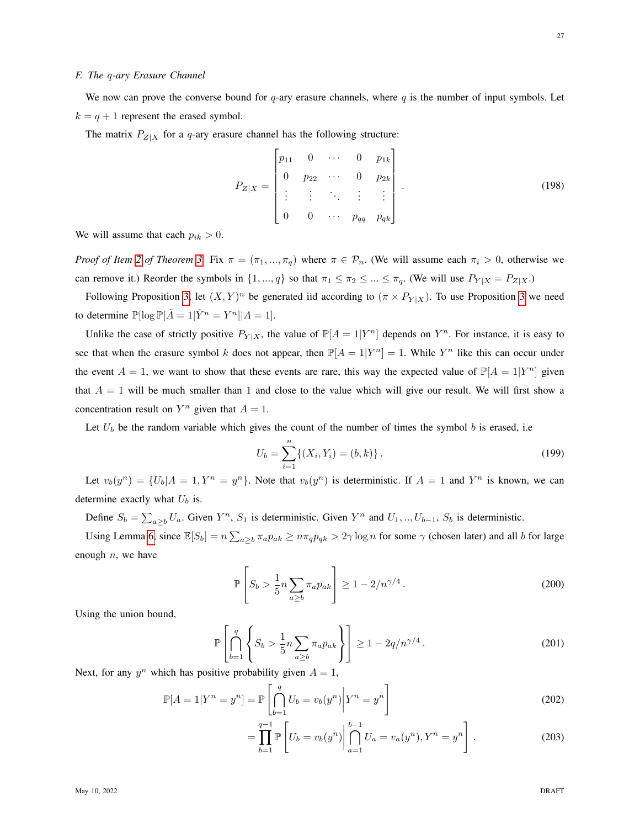#### *F. The* q*-ary Erasure Channel*

We now can prove the converse bound for q-ary erasure channels, where q is the number of input symbols. Let  $k = q + 1$  represent the erased symbol.

The matrix  $P_{Z|X}$  for a q-ary erasure channel has the following structure:

$$
P_{Z|X} = \begin{bmatrix} p_{11} & 0 & \cdots & 0 & p_{1k} \\ 0 & p_{22} & \cdots & 0 & p_{2k} \\ \vdots & \vdots & \ddots & \vdots & \vdots \\ 0 & 0 & \cdots & p_{qq} & p_{qk} \end{bmatrix} .
$$
 (198)

We will assume that each  $p_{ik} > 0$ .

*Proof of Item [2](#page-3-2) of Theorem [3.](#page-3-0)* Fix  $\pi = (\pi_1, ..., \pi_q)$  where  $\pi \in \mathcal{P}_n$ . (We will assume each  $\pi_i > 0$ , otherwise we can remove it.) Reorder the symbols in  $\{1, ..., q\}$  so that  $\pi_1 \leq \pi_2 \leq ... \leq \pi_q$ . (We will use  $P_{Y|X} = P_{Z|X}$ .)

Following Proposition [3,](#page-10-1) let  $(X, Y)^n$  be generated iid according to  $(\pi \times P_{Y|X})$ . To use Proposition [3](#page-10-1) we need to determine  $\mathbb{P}[\log \mathbb{P}[\tilde{A} = 1 | \tilde{Y}^n = Y^n]|A = 1].$ 

Unlike the case of strictly positive  $P_{Y|X}$ , the value of  $\mathbb{P}[A = 1 | Y^n]$  depends on  $Y^n$ . For instance, it is easy to see that when the erasure symbol k does not appear, then  $\mathbb{P}[A = 1 | Y^n] = 1$ . While  $Y^n$  like this can occur under the event  $A = 1$ , we want to show that these events are rare, this way the expected value of  $\mathbb{P}[A = 1|Y^n]$  given that  $A = 1$  will be much smaller than 1 and close to the value which will give our result. We will first show a concentration result on  $Y^n$  given that  $A = 1$ .

Let  $U_b$  be the random variable which gives the count of the number of times the symbol b is erased, i.e.

$$
U_b = \sum_{i=1}^{n} \{ (X_i, Y_i) = (b, k) \}.
$$
 (199)

Let  $v_b(y^n) = \{U_b | A = 1, Y^n = y^n\}$ . Note that  $v_b(y^n)$  is deterministic. If  $A = 1$  and  $Y^n$  is known, we can determine exactly what  $U_b$  is.

Define  $S_b = \sum_{a \ge b} U_a$ . Given  $Y^n$ ,  $S_1$  is deterministic. Given  $Y^n$  and  $U_1, ..., U_{b-1}$ ,  $S_b$  is deterministic.

Using Lemma [6,](#page-25-1) since  $\mathbb{E}[S_b] = n \sum_{a \ge b} \pi_a p_{ak} \ge n \pi_q p_{qk} > 2\gamma \log n$  for some  $\gamma$  (chosen later) and all b for large enough  $n$ , we have

$$
\mathbb{P}\left[S_b > \frac{1}{5}n\sum_{a\geq b} \pi_a p_{ak}\right] \geq 1 - 2/n^{\gamma/4} \,. \tag{200}
$$

Using the union bound,

$$
\mathbb{P}\left[\bigcap_{b=1}^{q} \left\{ S_b > \frac{1}{5} n \sum_{a \ge b} \pi_a p_{ak} \right\} \right] \ge 1 - 2q/n^{\gamma/4}.
$$
\n(201)

Next, for any  $y^n$  which has positive probability given  $A = 1$ ,

$$
\mathbb{P}[A=1|Y^n=y^n]=\mathbb{P}\left[\bigcap_{b=1}^q U_b=v_b(y^n)\bigg|Y^n=y^n\right]
$$
\n(202)

<span id="page-26-0"></span>
$$
= \prod_{b=1}^{q-1} \mathbb{P}\left[ U_b = v_b(y^n) \middle| \bigcap_{a=1}^{b-1} U_a = v_a(y^n), Y^n = y^n \right].
$$
 (203)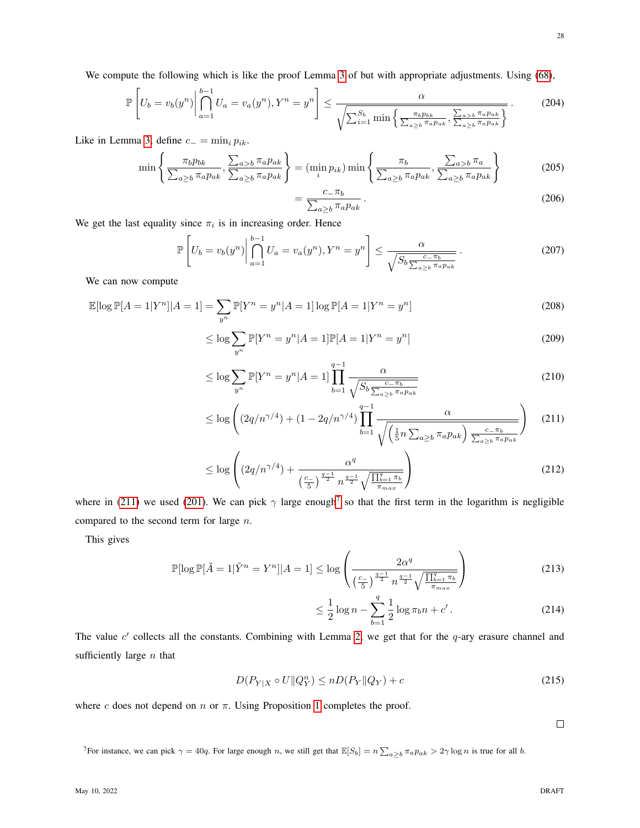28

We compute the following which is like the proof Lemma [3](#page-12-3) of but with appropriate adjustments. Using [\(68\)](#page-12-2),

$$
\mathbb{P}\left[U_b = v_b(y^n) \middle| \bigcap_{a=1}^{b-1} U_a = v_a(y^n), Y^n = y^n\right] \le \frac{\alpha}{\sqrt{\sum_{i=1}^{S_b} \min\left\{\frac{\pi_b p_{bk}}{\sum_{a\ge b} \pi_a p_{ak}}, \frac{\sum_{a>b} \pi_a p_{ak}}{\sum_{a\ge b} \pi_a p_{ak}}\right\}}}\right].
$$
 (204)

Like in Lemma [3,](#page-12-3) define  $c_$  =  $\min_i p_{ik}$ .

$$
\min\left\{\frac{\pi_b p_{bk}}{\sum_{a\geq b} \pi_a p_{ak}}, \frac{\sum_{a>b} \pi_a p_{ak}}{\sum_{a\geq b} \pi_a p_{ak}}\right\} = (\min_i p_{ik}) \min\left\{\frac{\pi_b}{\sum_{a\geq b} \pi_a p_{ak}}, \frac{\sum_{a>b} \pi_a}{\sum_{a\geq b} \pi_a p_{ak}}\right\}
$$
(205)

$$
=\frac{c_{-}\pi_{b}}{\sum_{a\geq b}\pi_{a}p_{ak}}.
$$
\n(206)

We get the last equality since  $\pi_i$  is in increasing order. Hence

$$
\mathbb{P}\left[U_b = v_b(y^n) \middle| \bigcap_{a=1}^{b-1} U_a = v_a(y^n), Y^n = y^n\right] \le \frac{\alpha}{\sqrt{S_b \frac{c_-\pi_b}{\sum_{a\ge b} \pi_a p_{ak}}}}.
$$
\n(207)

We can now compute

$$
\mathbb{E}[\log \mathbb{P}[A=1|Y^n]|A=1] = \sum_{y^n} \mathbb{P}[Y^n = y^n|A=1] \log \mathbb{P}[A=1|Y^n = y^n]
$$
\n(208)

$$
\leq \log \sum_{y^n} \mathbb{P}[Y^n = y^n | A = 1] \mathbb{P}[A = 1 | Y^n = y^n]
$$
\n(209)

$$
\leq \log \sum_{y^n} \mathbb{P}[Y^n = y^n | A = 1] \prod_{b=1}^{q-1} \frac{\alpha}{\sqrt{S_b \frac{c - \pi_b}{\sum_{a \geq b} \pi_a p_{ak}}}}
$$
(210)

$$
\leq \log \left( \left( 2q/n^{\gamma/4} \right) + \left( 1 - 2q/n^{\gamma/4} \right) \prod_{b=1}^{q-1} \frac{\alpha}{\sqrt{\left( \frac{1}{5}n \sum_{a \geq b} \pi_a p_{ak} \right) \frac{c_-\pi_b}{\sum_{a \geq b} \pi_a p_{ak}}}} \right) \tag{211}
$$

$$
\leq \log \left( (2q/n^{\gamma/4}) + \frac{\alpha^q}{\left(\frac{c}{5}\right)^{\frac{q-1}{2}} n^{\frac{q-1}{2}} \sqrt{\frac{\prod_{b=1}^q \pi_b}{\pi_{max}}}} \right) \tag{212}
$$

where in [\(211\)](#page-27-0) we used [\(201\)](#page-26-0). We can pick  $\gamma$  large enough<sup>[7](#page-27-1)</sup> so that the first term in the logarithm is negligible compared to the second term for large n.

This gives

$$
\mathbb{P}[\log \mathbb{P}[\tilde{A} = 1 | \tilde{Y}^n = Y^n]|A = 1] \le \log \left(\frac{2\alpha^q}{\left(\frac{c}{5}\right)^{\frac{q-1}{2}} n^{\frac{q-1}{2}} \sqrt{\frac{\prod_{b=1}^q \pi_b}{\pi_{max}}}}\right)
$$
(213)

<span id="page-27-0"></span>
$$
\leq \frac{1}{2}\log n - \sum_{b=1}^{q} \frac{1}{2}\log \pi_b n + c'.
$$
 (214)

The value  $c'$  collects all the constants. Combining with Lemma [2,](#page-11-2) we get that for the  $q$ -ary erasure channel and sufficiently large  $n$  that

$$
D(P_{Y|X} \circ U \| Q_Y^n) \le n D(P_Y \| Q_Y) + c \tag{215}
$$

where c does not depend on  $n$  or  $\pi$ . Using Proposition [1](#page-7-0) completes the proof.

 $\Box$ 

<span id="page-27-1"></span><sup>7</sup>For instance, we can pick  $\gamma = 40q$ . For large enough n, we still get that  $\mathbb{E}[S_b] = n \sum_{a \geq b} \pi_a p_{ak} > 2\gamma \log n$  is true for all b.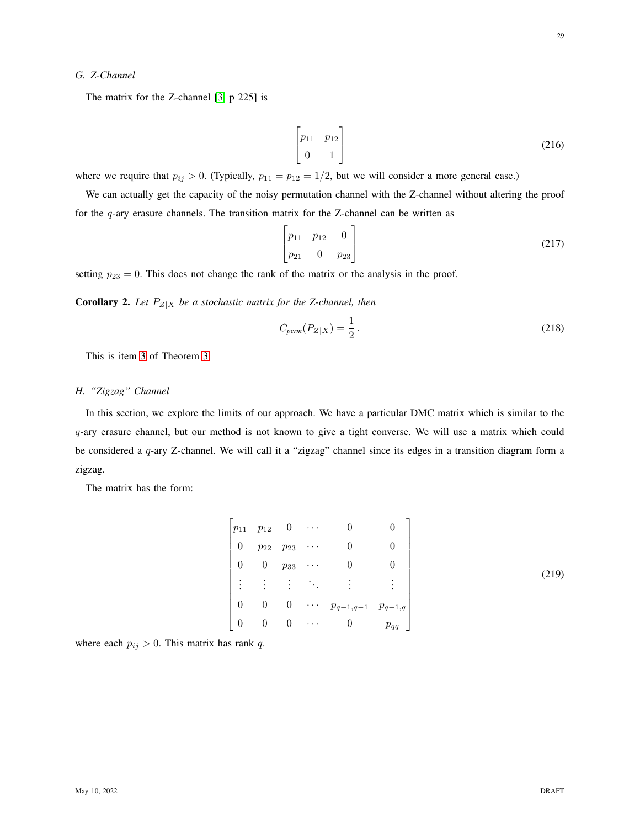## *G. Z-Channel*

The matrix for the Z-channel [\[3,](#page-29-2) p 225] is

$$
\begin{bmatrix} p_{11} & p_{12} \\ 0 & 1 \end{bmatrix} \tag{216}
$$

where we require that  $p_{ij} > 0$ . (Typically,  $p_{11} = p_{12} = 1/2$ , but we will consider a more general case.)

We can actually get the capacity of the noisy permutation channel with the Z-channel without altering the proof for the  $q$ -ary erasure channels. The transition matrix for the Z-channel can be written as

$$
\begin{bmatrix} p_{11} & p_{12} & 0 \\ p_{21} & 0 & p_{23} \end{bmatrix}
$$
 (217)

setting  $p_{23} = 0$ . This does not change the rank of the matrix or the analysis in the proof.

**Corollary 2.** Let  $P_{Z|X}$  be a stochastic matrix for the Z-channel, then

$$
C_{perm}(P_{Z|X}) = \frac{1}{2} \,. \tag{218}
$$

This is item [3](#page-3-4) of Theorem [3.](#page-3-0)

# *H. "Zigzag" Channel*

In this section, we explore the limits of our approach. We have a particular DMC matrix which is similar to the q-ary erasure channel, but our method is not known to give a tight converse. We will use a matrix which could be considered a q-ary Z-channel. We will call it a "zigzag" channel since its edges in a transition diagram form a zigzag.

The matrix has the form:

$$
\begin{bmatrix} p_{11} & p_{12} & 0 & \cdots & 0 & 0 \\ 0 & p_{22} & p_{23} & \cdots & 0 & 0 \\ 0 & 0 & p_{33} & \cdots & 0 & 0 \\ \vdots & \vdots & \vdots & \ddots & \vdots & \vdots \\ 0 & 0 & 0 & \cdots & p_{q-1,q-1} & p_{q-1,q} \\ 0 & 0 & 0 & \cdots & 0 & p_{qq} \end{bmatrix}
$$
 (219)

where each  $p_{ij} > 0$ . This matrix has rank q.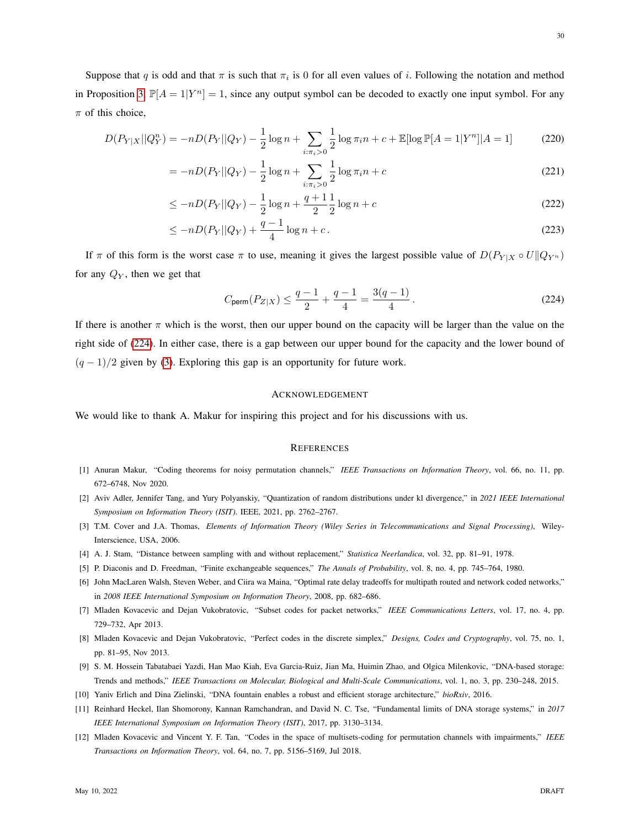Suppose that q is odd and that  $\pi$  is such that  $\pi_i$  is 0 for all even values of i. Following the notation and method in Proposition [3,](#page-10-1)  $\mathbb{P}[A = 1 | Y^n] = 1$ , since any output symbol can be decoded to exactly one input symbol. For any  $\pi$  of this choice,

$$
D(P_{Y|X}||Q_Y^n) = -nD(P_Y||Q_Y) - \frac{1}{2}\log n + \sum_{i:\pi_i>0} \frac{1}{2}\log \pi_i n + c + \mathbb{E}[\log \mathbb{P}[A=1|Y^n]|A=1]
$$
(220)

$$
= -nD(P_Y||Q_Y) - \frac{1}{2}\log n + \sum_{i:\pi_i>0} \frac{1}{2}\log \pi_i n + c \tag{221}
$$

$$
\leq -nD(P_Y||Q_Y) - \frac{1}{2}\log n + \frac{q+1}{2}\frac{1}{2}\log n + c \tag{222}
$$

$$
\leq -nD(P_Y||Q_Y) + \frac{q-1}{4}\log n + c. \tag{223}
$$

If  $\pi$  of this form is the worst case  $\pi$  to use, meaning it gives the largest possible value of  $D(P_{Y|X} \circ U||Q_{Y^n})$ for any  $Q_Y$ , then we get that

$$
C_{\text{perm}}(P_{Z|X}) \le \frac{q-1}{2} + \frac{q-1}{4} = \frac{3(q-1)}{4}.
$$
 (224)

If there is another  $\pi$  which is the worst, then our upper bound on the capacity will be larger than the value on the right side of [\(224\)](#page-29-12). In either case, there is a gap between our upper bound for the capacity and the lower bound of  $(q - 1)/2$  given by [\(3\)](#page-1-1). Exploring this gap is an opportunity for future work.

#### <span id="page-29-12"></span>ACKNOWLEDGEMENT

We would like to thank A. Makur for inspiring this project and for his discussions with us.

#### **REFERENCES**

- <span id="page-29-0"></span>[1] Anuran Makur, "Coding theorems for noisy permutation channels," *IEEE Transactions on Information Theory*, vol. 66, no. 11, pp. 672–6748, Nov 2020.
- <span id="page-29-1"></span>[2] Aviv Adler, Jennifer Tang, and Yury Polyanskiy, "Quantization of random distributions under kl divergence," in *2021 IEEE International Symposium on Information Theory (ISIT)*. IEEE, 2021, pp. 2762–2767.
- <span id="page-29-2"></span>[3] T.M. Cover and J.A. Thomas, *Elements of Information Theory (Wiley Series in Telecommunications and Signal Processing)*, Wiley-Interscience, USA, 2006.
- <span id="page-29-3"></span>[4] A. J. Stam, "Distance between sampling with and without replacement," *Statistica Neerlandica*, vol. 32, pp. 81–91, 1978.
- <span id="page-29-4"></span>[5] P. Diaconis and D. Freedman, "Finite exchangeable sequences," *The Annals of Probability*, vol. 8, no. 4, pp. 745–764, 1980.
- <span id="page-29-5"></span>[6] John MacLaren Walsh, Steven Weber, and Ciira wa Maina, "Optimal rate delay tradeoffs for multipath routed and network coded networks," in *2008 IEEE International Symposium on Information Theory*, 2008, pp. 682–686.
- <span id="page-29-6"></span>[7] Mladen Kovacevic and Dejan Vukobratovic, "Subset codes for packet networks," *IEEE Communications Letters*, vol. 17, no. 4, pp. 729–732, Apr 2013.
- <span id="page-29-7"></span>[8] Mladen Kovacevic and Dejan Vukobratovic, "Perfect codes in the discrete simplex," *Designs, Codes and Cryptography*, vol. 75, no. 1, pp. 81–95, Nov 2013.
- <span id="page-29-8"></span>[9] S. M. Hossein Tabatabaei Yazdi, Han Mao Kiah, Eva Garcia-Ruiz, Jian Ma, Huimin Zhao, and Olgica Milenkovic, "DNA-based storage: Trends and methods," *IEEE Transactions on Molecular, Biological and Multi-Scale Communications*, vol. 1, no. 3, pp. 230–248, 2015.
- <span id="page-29-9"></span>[10] Yaniv Erlich and Dina Zielinski, "DNA fountain enables a robust and efficient storage architecture," *bioRxiv*, 2016.
- <span id="page-29-10"></span>[11] Reinhard Heckel, Ilan Shomorony, Kannan Ramchandran, and David N. C. Tse, "Fundamental limits of DNA storage systems," in *2017 IEEE International Symposium on Information Theory (ISIT)*, 2017, pp. 3130–3134.
- <span id="page-29-11"></span>[12] Mladen Kovacevic and Vincent Y. F. Tan, "Codes in the space of multisets-coding for permutation channels with impairments," *IEEE Transactions on Information Theory*, vol. 64, no. 7, pp. 5156–5169, Jul 2018.